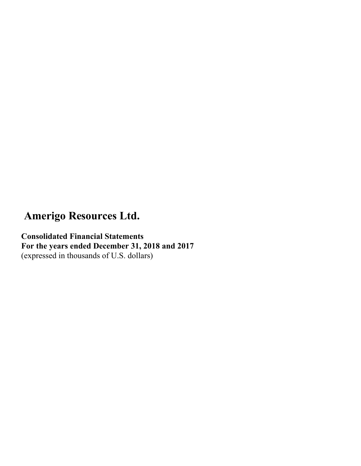**Consolidated Financial Statements For the years ended December 31, 2018 and 2017**  (expressed in thousands of U.S. dollars)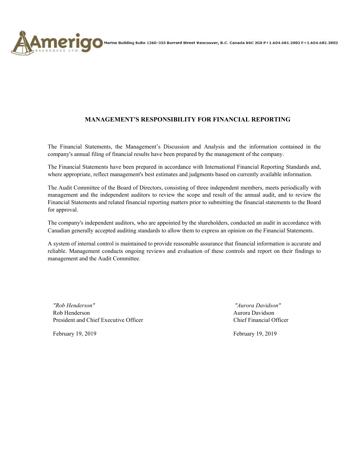Marine Building Suite 1260-355 Burrard Street Vancouver, B.C. Canada V6C 2G8 P+1.604.681.2802 F+1.604.682.2802

#### **MANAGEMENT'S RESPONSIBILITY FOR FINANCIAL REPORTING**

The Financial Statements, the Management's Discussion and Analysis and the information contained in the company's annual filing of financial results have been prepared by the management of the company.

The Financial Statements have been prepared in accordance with International Financial Reporting Standards and, where appropriate, reflect management's best estimates and judgments based on currently available information.

The Audit Committee of the Board of Directors, consisting of three independent members, meets periodically with management and the independent auditors to review the scope and result of the annual audit, and to review the Financial Statements and related financial reporting matters prior to submitting the financial statements to the Board for approval.

The company's independent auditors, who are appointed by the shareholders, conducted an audit in accordance with Canadian generally accepted auditing standards to allow them to express an opinion on the Financial Statements.

A system of internal control is maintained to provide reasonable assurance that financial information is accurate and reliable. Management conducts ongoing reviews and evaluation of these controls and report on their findings to management and the Audit Committee.

*"Rob Henderson" "Aurora Davidson"*  Rob Henderson Aurora Davidson President and Chief Executive Officer Chief Financial Officer Chief Financial Officer

February 19, 2019 February 19, 2019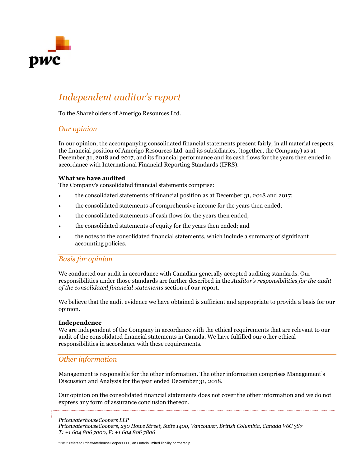

## *Independent auditor's report*

To the Shareholders of Amerigo Resources Ltd.

#### *Our opinion*

In our opinion, the accompanying consolidated financial statements present fairly, in all material respects, the financial position of Amerigo Resources Ltd. and its subsidiaries, (together, the Company) as at December 31, 2018 and 2017, and its financial performance and its cash flows for the years then ended in accordance with International Financial Reporting Standards (IFRS).

#### **What we have audited**

The Company's consolidated financial statements comprise:

- the consolidated statements of financial position as at December 31, 2018 and 2017;
- the consolidated statements of comprehensive income for the years then ended;
- the consolidated statements of cash flows for the years then ended;
- the consolidated statements of equity for the years then ended; and
- the notes to the consolidated financial statements, which include a summary of significant accounting policies.

#### *Basis for opinion*

We conducted our audit in accordance with Canadian generally accepted auditing standards. Our responsibilities under those standards are further described in the *Auditor's responsibilities for the audit of the consolidated financial statements* section of our report.

We believe that the audit evidence we have obtained is sufficient and appropriate to provide a basis for our opinion.

#### **Independence**

We are independent of the Company in accordance with the ethical requirements that are relevant to our audit of the consolidated financial statements in Canada. We have fulfilled our other ethical responsibilities in accordance with these requirements.

#### *Other information*

Management is responsible for the other information. The other information comprises Management's Discussion and Analysis for the year ended December 31, 2018.

Our opinion on the consolidated financial statements does not cover the other information and we do not express any form of assurance conclusion thereon.

*PricewaterhouseCoopers LLP* 

*PricewaterhouseCoopers, 250 Howe Street, Suite 1400, Vancouver, British Columbia, Canada V6C 3S7 T: +1 604 806 7000, F: +1 604 806 7806*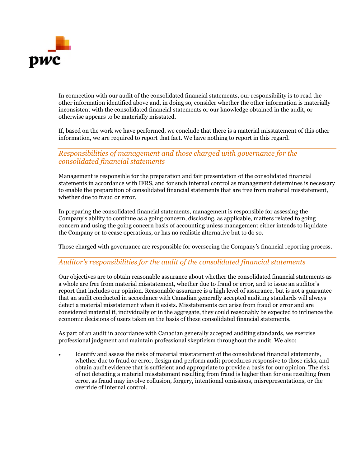

In connection with our audit of the consolidated financial statements, our responsibility is to read the other information identified above and, in doing so, consider whether the other information is materially inconsistent with the consolidated financial statements or our knowledge obtained in the audit, or otherwise appears to be materially misstated.

If, based on the work we have performed, we conclude that there is a material misstatement of this other information, we are required to report that fact. We have nothing to report in this regard.

#### *Responsibilities of management and those charged with governance for the consolidated financial statements*

Management is responsible for the preparation and fair presentation of the consolidated financial statements in accordance with IFRS, and for such internal control as management determines is necessary to enable the preparation of consolidated financial statements that are free from material misstatement, whether due to fraud or error.

In preparing the consolidated financial statements, management is responsible for assessing the Company's ability to continue as a going concern, disclosing, as applicable, matters related to going concern and using the going concern basis of accounting unless management either intends to liquidate the Company or to cease operations, or has no realistic alternative but to do so.

Those charged with governance are responsible for overseeing the Company's financial reporting process.

#### *Auditor's responsibilities for the audit of the consolidated financial statements*

Our objectives are to obtain reasonable assurance about whether the consolidated financial statements as a whole are free from material misstatement, whether due to fraud or error, and to issue an auditor's report that includes our opinion. Reasonable assurance is a high level of assurance, but is not a guarantee that an audit conducted in accordance with Canadian generally accepted auditing standards will always detect a material misstatement when it exists. Misstatements can arise from fraud or error and are considered material if, individually or in the aggregate, they could reasonably be expected to influence the economic decisions of users taken on the basis of these consolidated financial statements.

As part of an audit in accordance with Canadian generally accepted auditing standards, we exercise professional judgment and maintain professional skepticism throughout the audit. We also:

 Identify and assess the risks of material misstatement of the consolidated financial statements, whether due to fraud or error, design and perform audit procedures responsive to those risks, and obtain audit evidence that is sufficient and appropriate to provide a basis for our opinion. The risk of not detecting a material misstatement resulting from fraud is higher than for one resulting from error, as fraud may involve collusion, forgery, intentional omissions, misrepresentations, or the override of internal control.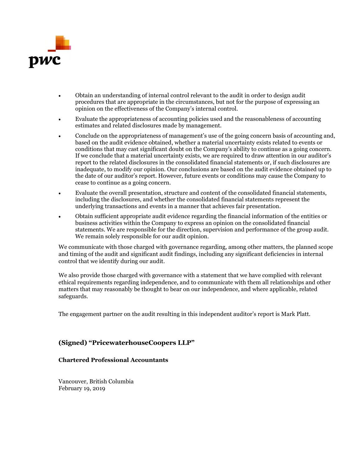

- Obtain an understanding of internal control relevant to the audit in order to design audit procedures that are appropriate in the circumstances, but not for the purpose of expressing an opinion on the effectiveness of the Company's internal control.
- Evaluate the appropriateness of accounting policies used and the reasonableness of accounting estimates and related disclosures made by management.
- Conclude on the appropriateness of management's use of the going concern basis of accounting and, based on the audit evidence obtained, whether a material uncertainty exists related to events or conditions that may cast significant doubt on the Company's ability to continue as a going concern. If we conclude that a material uncertainty exists, we are required to draw attention in our auditor's report to the related disclosures in the consolidated financial statements or, if such disclosures are inadequate, to modify our opinion. Our conclusions are based on the audit evidence obtained up to the date of our auditor's report. However, future events or conditions may cause the Company to cease to continue as a going concern.
- Evaluate the overall presentation, structure and content of the consolidated financial statements, including the disclosures, and whether the consolidated financial statements represent the underlying transactions and events in a manner that achieves fair presentation.
- Obtain sufficient appropriate audit evidence regarding the financial information of the entities or business activities within the Company to express an opinion on the consolidated financial statements. We are responsible for the direction, supervision and performance of the group audit. We remain solely responsible for our audit opinion.

We communicate with those charged with governance regarding, among other matters, the planned scope and timing of the audit and significant audit findings, including any significant deficiencies in internal control that we identify during our audit.

We also provide those charged with governance with a statement that we have complied with relevant ethical requirements regarding independence, and to communicate with them all relationships and other matters that may reasonably be thought to bear on our independence, and where applicable, related safeguards.

The engagement partner on the audit resulting in this independent auditor's report is Mark Platt.

#### **(Signed) "PricewaterhouseCoopers LLP"**

#### **Chartered Professional Accountants**

Vancouver, British Columbia February 19, 2019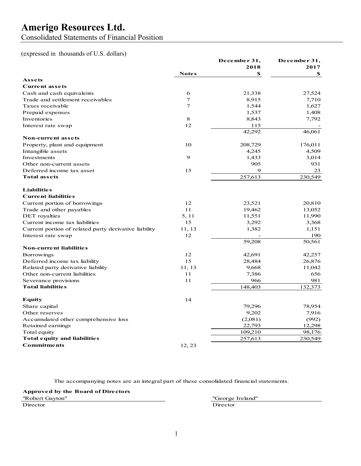Consolidated Statements of Financial Position

#### (expressed in thousands of U.S. dollars)

|                                                       |              | December 31,<br>2018 | December 31,<br>2017 |
|-------------------------------------------------------|--------------|----------------------|----------------------|
|                                                       | <b>Notes</b> | \$                   | S                    |
| Assets                                                |              |                      |                      |
| <b>Current assets</b>                                 |              |                      |                      |
| Cash and cash equivalents                             | 6            | 21,338               | 27,524               |
| Trade and settlement receivables                      | 7            | 8,915                | 7,710                |
| Taxes receivable                                      | 7            | 1,544                | 1,627                |
| Prepaid expenses                                      |              | 1,537                | 1,408                |
| Inventories                                           | $8\,$        | 8,843                | 7,792                |
| Interest rate swap                                    | 12           | 115                  |                      |
|                                                       |              | 42,292               | 46,061               |
| Non-current assets                                    |              |                      |                      |
| Property, plant and equipment                         | 10           | 208,729              | 176,011              |
| Intangible assets                                     |              | 4,245                | 4,509                |
| Investments                                           | 9            | 1,433                | 3,014                |
| Other non-current assets                              |              | 905                  | 931                  |
| Deferred income tax asset                             | 15           | 9                    | 23                   |
| <b>Total assets</b>                                   |              | 257,613              | 230,549              |
| <b>Liabilities</b>                                    |              |                      |                      |
| <b>Current liabilities</b>                            |              |                      |                      |
| Current portion of borrowings                         | 12           | 23,521               | 20,810               |
| Trade and other payables                              | 11           | 19,462               | 13,052               |
| DET royalties                                         | 5, 11        | 11,551               | 11,990               |
| Current income tax liabilities                        | 15           | 3,292                | 3,368                |
| Current portion of related party derivative liability | 11, 13       | 1,382                | 1,151                |
| Interest rate swap                                    | 12           |                      | 190                  |
|                                                       |              | 59,208               | 50,561               |
| Non-current liabilities                               |              |                      |                      |
| <b>Borrowings</b>                                     | 12           | 42,691               | 42,257               |
| Deferred income tax liability                         | 15           | 28,484               | 26,876               |
| Related party derivative liability                    | 11, 13       | 9,668                | 11,042               |
| Other non-current liabilities                         | 11           | 7,386                | 656                  |
| Severance provisions                                  | 11           | 966                  | 981                  |
| <b>Total liabilities</b>                              |              | 148,403              | 132,373              |
| <b>Equity</b>                                         | 14           |                      |                      |
| Share capital                                         |              | 79,296               | 78,954               |
| Other reserves                                        |              | 9,202                | 7,916                |
| Accumulated other comprehensive loss                  |              | (2,081)              | (992)                |
| Retained earnings                                     |              | 22,793               | 12,298               |
| Total equity                                          |              | 109,210              | 98,176               |
| Total equity and liabilities                          |              | 257,613              | 230,549              |
| <b>Commitments</b>                                    | 12.23        |                      |                      |

The accompanying notes are an integral part of these consolidated financial statements.

# **Approved by the Board of Directors**

Director

"George Ireland"<br>Director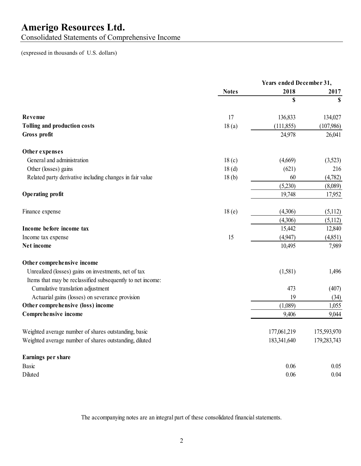Consolidated Statements of Comprehensive Income

#### (expressed in thousands of U.S. dollars)

|                                                            |                   |             | Years ended December 31, |  |
|------------------------------------------------------------|-------------------|-------------|--------------------------|--|
|                                                            | <b>Notes</b>      | 2018        | 2017                     |  |
|                                                            |                   | \$          | \$                       |  |
| Revenue                                                    | 17                | 136,833     | 134,027                  |  |
| Tolling and production costs                               | 18(a)             | (111, 855)  | (107,986)                |  |
| Gross profit                                               |                   | 24,978      | 26,041                   |  |
| Other expenses                                             |                   |             |                          |  |
| General and administration                                 | 18 <sub>(c)</sub> | (4,669)     | (3,523)                  |  |
| Other (losses) gains                                       | 18 <sub>(d)</sub> | (621)       | 216                      |  |
| Related party derivative including changes in fair value   | 18(b)             | 60          | (4,782)                  |  |
|                                                            |                   | (5,230)     | (8,089)                  |  |
| Operating profit                                           |                   | 19,748      | 17,952                   |  |
| Finance expense                                            | 18(e)             | (4,306)     | (5,112)                  |  |
|                                                            |                   | (4,306)     | (5,112)                  |  |
| Income before income tax                                   |                   | 15,442      | 12,840                   |  |
| Income tax expense                                         | 15                | (4,947)     | (4,851)                  |  |
| Net income                                                 |                   | 10,495      | 7,989                    |  |
| Other comprehensive income                                 |                   |             |                          |  |
| Unrealized (losses) gains on investments, net of tax       |                   | (1,581)     | 1,496                    |  |
| Items that may be reclassified subsequently to net income: |                   |             |                          |  |
| Cumulative translation adjustment                          |                   | 473         | (407)                    |  |
| Actuarial gains (losses) on severance provision            |                   | 19          | (34)                     |  |
| Other comprehensive (loss) income                          |                   | (1,089)     | 1,055                    |  |
| Comprehensive income                                       |                   | 9,406       | 9,044                    |  |
| Weighted average number of shares outstanding, basic       |                   | 177,061,219 | 175,593,970              |  |
| Weighted average number of shares outstanding, diluted     |                   | 183,341,640 | 179,283,743              |  |
| <b>Earnings per share</b>                                  |                   |             |                          |  |
| Basic                                                      |                   | 0.06        | 0.05                     |  |
| Diluted                                                    |                   | 0.06        | 0.04                     |  |

The accompanying notes are an integral part of these consolidated financial statements.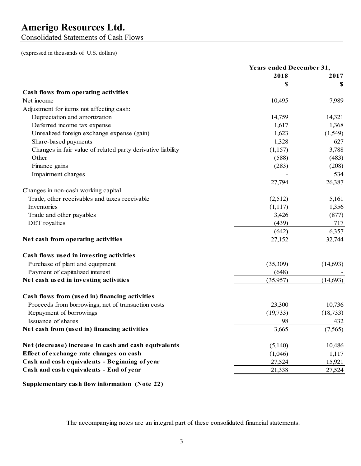Consolidated Statements of Cash Flows

(expressed in thousands of U.S. dollars)

|                                                             | Years ended December 31, |                           |
|-------------------------------------------------------------|--------------------------|---------------------------|
|                                                             | 2018                     | 2017                      |
|                                                             | \$                       | $\boldsymbol{\mathsf{s}}$ |
| Cash flows from operating activities                        |                          |                           |
| Net income                                                  | 10,495                   | 7,989                     |
| Adjustment for items not affecting cash:                    |                          |                           |
| Depreciation and amortization                               | 14,759                   | 14,321                    |
| Deferred income tax expense                                 | 1,617                    | 1,368                     |
| Unrealized foreign exchange expense (gain)                  | 1,623                    | (1, 549)                  |
| Share-based payments                                        | 1,328                    | 627                       |
| Changes in fair value of related party derivative liability | (1,157)                  | 3,788                     |
| Other                                                       | (588)                    | (483)                     |
| Finance gains                                               | (283)                    | (208)                     |
| Impairment charges                                          |                          | 534                       |
|                                                             | 27,794                   | 26,387                    |
| Changes in non-cash working capital                         |                          |                           |
| Trade, other receivables and taxes receivable               | (2,512)                  | 5,161                     |
| Inventories                                                 | (1,117)                  | 1,356                     |
| Trade and other payables                                    | 3,426                    | (877)                     |
| DET royalties                                               | (439)                    | 717                       |
|                                                             | (642)                    | 6,357                     |
| Net cash from operating activities                          | 27,152                   | 32,744                    |
| Cash flows used in investing activities                     |                          |                           |
| Purchase of plant and equipment                             | (35,309)                 | (14,693)                  |
| Payment of capitalized interest                             | (648)                    |                           |
| Net cash used in investing activities                       | (35,957)                 | (14,693)                  |
| Cash flows from (used in) financing activities              |                          |                           |
| Proceeds from borrowings, net of transaction costs          | 23,300                   | 10,736                    |
| Repayment of borrowings                                     | (19,733)                 | (18,733)                  |
| Issuance of shares                                          | 98                       | 432                       |
| Net cash from (used in) financing activities                | 3,665                    | (7, 565)                  |
|                                                             |                          |                           |
| Net (decrease) increase in cash and cash equivalents        | (5,140)                  | 10,486                    |
| Effect of exchange rate changes on cash                     | (1,046)                  | 1,117                     |
| Cash and cash equivalents - Beginning of year               | 27,524                   | 15,921                    |
| Cash and cash equivalents - End of year                     | 21,338                   | 27,524                    |

**Supplementary cash flow information (Note 22)**

The accompanying notes are an integral part of these consolidated financial statements.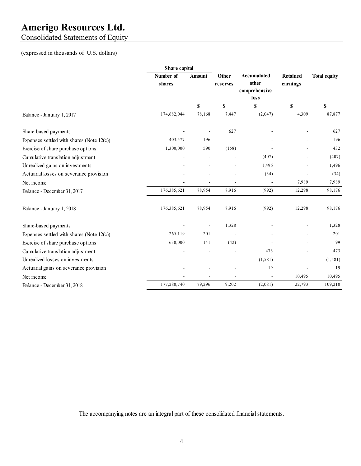Consolidated Statements of Equity

#### (expressed in thousands of U.S. dollars)

|                                              |                     | Share capital  |                   |                                               |                             |                     |
|----------------------------------------------|---------------------|----------------|-------------------|-----------------------------------------------|-----------------------------|---------------------|
|                                              | Number of<br>shares | <b>Amount</b>  | Other<br>reserves | Accumulated<br>other<br>comprehensive<br>loss | <b>Retained</b><br>earnings | <b>Total equity</b> |
|                                              |                     | \$             | \$                | \$                                            | \$                          | \$                  |
| Balance - January 1, 2017                    | 174,682,044         | 78,168         | 7,447             | (2,047)                                       | 4,309                       | 87,877              |
| Share-based payments                         |                     |                | 627               |                                               |                             | 627                 |
| Expenses settled with shares (Note 12(c))    | 403,577             | 196            |                   |                                               |                             | 196                 |
| Exercise of share purchase options           | 1,300,000           | 590            | (158)             |                                               |                             | 432                 |
| Cumulative translation adjustment            | L,                  | $\overline{a}$ |                   | (407)                                         | $\overline{\phantom{0}}$    | (407)               |
| Unrealized gains on investments              |                     |                |                   | 1,496                                         |                             | 1,496               |
| Actuarial losses on severance provision      |                     |                |                   | (34)                                          |                             | (34)                |
| Net income                                   |                     |                |                   |                                               | 7,989                       | 7,989               |
| Balance - December 31, 2017                  | 176,385,621         | 78,954         | 7,916             | (992)                                         | 12,298                      | 98,176              |
| Balance - January 1, 2018                    | 176,385,621         | 78,954         | 7,916             | (992)                                         | 12,298                      | 98,176              |
| Share-based payments                         |                     |                | 1,328             |                                               |                             | 1,328               |
| Expenses settled with shares (Note $12(c)$ ) | 265,119             | 201            |                   |                                               |                             | 201                 |
| Exercise of share purchase options           | 630,000             | 141            | (42)              |                                               |                             | 99                  |
| Cumulative translation adjustment            |                     |                |                   | 473                                           |                             | 473                 |
| Unrealized losses on investments             |                     |                |                   | (1,581)                                       | ÷,                          | (1, 581)            |
| Actuarial gains on severance provision       |                     |                |                   | 19                                            |                             | 19                  |
| Net income                                   |                     |                |                   | $\overline{a}$                                | 10,495                      | 10,495              |
| Balance - December 31, 2018                  | 177,280,740         | 79,296         | 9,202             | (2,081)                                       | 22,793                      | 109,210             |

The accompanying notes are an integral part of these consolidated financial statements.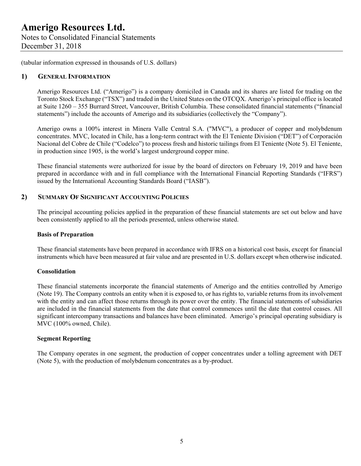Notes to Consolidated Financial Statements December 31, 2018

(tabular information expressed in thousands of U.S. dollars)

#### **1) GENERAL INFORMATION**

Amerigo Resources Ltd. ("Amerigo") is a company domiciled in Canada and its shares are listed for trading on the Toronto Stock Exchange ("TSX") and traded in the United States on the OTCQX. Amerigo's principal office is located at Suite 1260 – 355 Burrard Street, Vancouver, British Columbia. These consolidated financial statements ("financial statements") include the accounts of Amerigo and its subsidiaries (collectively the "Company").

Amerigo owns a 100% interest in Minera Valle Central S.A. ("MVC"), a producer of copper and molybdenum concentrates. MVC, located in Chile, has a long-term contract with the El Teniente Division ("DET") of Corporación Nacional del Cobre de Chile ("Codelco") to process fresh and historic tailings from El Teniente (Note 5). El Teniente, in production since 1905, is the world's largest underground copper mine.

These financial statements were authorized for issue by the board of directors on February 19, 2019 and have been prepared in accordance with and in full compliance with the International Financial Reporting Standards ("IFRS") issued by the International Accounting Standards Board ("IASB").

#### **2) SUMMARY OF SIGNIFICANT ACCOUNTING POLICIES**

The principal accounting policies applied in the preparation of these financial statements are set out below and have been consistently applied to all the periods presented, unless otherwise stated.

#### **Basis of Preparation**

These financial statements have been prepared in accordance with IFRS on a historical cost basis, except for financial instruments which have been measured at fair value and are presented in U.S. dollars except when otherwise indicated.

#### **Consolidation**

These financial statements incorporate the financial statements of Amerigo and the entities controlled by Amerigo (Note 19). The Company controls an entity when it is exposed to, or has rights to, variable returns from its involvement with the entity and can affect those returns through its power over the entity. The financial statements of subsidiaries are included in the financial statements from the date that control commences until the date that control ceases. All significant intercompany transactions and balances have been eliminated. Amerigo's principal operating subsidiary is MVC (100% owned, Chile).

#### **Segment Reporting**

The Company operates in one segment, the production of copper concentrates under a tolling agreement with DET (Note 5), with the production of molybdenum concentrates as a by-product.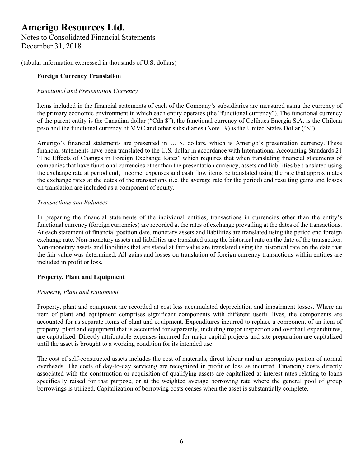Notes to Consolidated Financial Statements December 31, 2018

(tabular information expressed in thousands of U.S. dollars)

#### **Foreign Currency Translation**

#### *Functional and Presentation Currency*

Items included in the financial statements of each of the Company's subsidiaries are measured using the currency of the primary economic environment in which each entity operates (the "functional currency"). The functional currency of the parent entity is the Canadian dollar ("Cdn \$"), the functional currency of Colihues Energia S.A. is the Chilean peso and the functional currency of MVC and other subsidiaries (Note 19) is the United States Dollar ("\$").

Amerigo's financial statements are presented in U. S. dollars, which is Amerigo's presentation currency. These financial statements have been translated to the U.S. dollar in accordance with International Accounting Standards 21 "The Effects of Changes in Foreign Exchange Rates" which requires that when translating financial statements of companies that have functional currencies other than the presentation currency, assets and liabilities be translated using the exchange rate at period end, income, expenses and cash flow items be translated using the rate that approximates the exchange rates at the dates of the transactions (i.e. the average rate for the period) and resulting gains and losses on translation are included as a component of equity.

#### *Transactions and Balances*

In preparing the financial statements of the individual entities, transactions in currencies other than the entity's functional currency (foreign currencies) are recorded at the rates of exchange prevailing at the dates of the transactions. At each statement of financial position date, monetary assets and liabilities are translated using the period end foreign exchange rate. Non-monetary assets and liabilities are translated using the historical rate on the date of the transaction. Non-monetary assets and liabilities that are stated at fair value are translated using the historical rate on the date that the fair value was determined. All gains and losses on translation of foreign currency transactions within entities are included in profit or loss.

#### **Property, Plant and Equipment**

#### *Property, Plant and Equipment*

Property, plant and equipment are recorded at cost less accumulated depreciation and impairment losses. Where an item of plant and equipment comprises significant components with different useful lives, the components are accounted for as separate items of plant and equipment. Expenditures incurred to replace a component of an item of property, plant and equipment that is accounted for separately, including major inspection and overhaul expenditures, are capitalized. Directly attributable expenses incurred for major capital projects and site preparation are capitalized until the asset is brought to a working condition for its intended use.

The cost of self-constructed assets includes the cost of materials, direct labour and an appropriate portion of normal overheads. The costs of day-to-day servicing are recognized in profit or loss as incurred. Financing costs directly associated with the construction or acquisition of qualifying assets are capitalized at interest rates relating to loans specifically raised for that purpose, or at the weighted average borrowing rate where the general pool of group borrowings is utilized. Capitalization of borrowing costs ceases when the asset is substantially complete.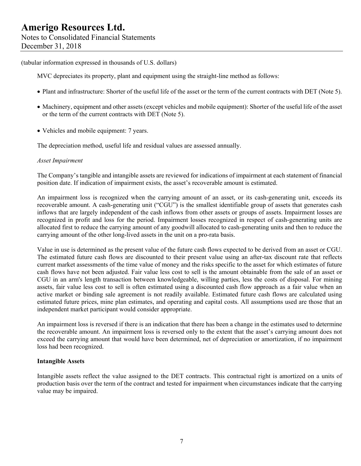MVC depreciates its property, plant and equipment using the straight-line method as follows:

- Plant and infrastructure: Shorter of the useful life of the asset or the term of the current contracts with DET (Note 5).
- Machinery, equipment and other assets (except vehicles and mobile equipment): Shorter of the useful life of the asset or the term of the current contracts with DET (Note 5).
- Vehicles and mobile equipment: 7 years.

The depreciation method, useful life and residual values are assessed annually.

#### *Asset Impairment*

The Company's tangible and intangible assets are reviewed for indications of impairment at each statement of financial position date. If indication of impairment exists, the asset's recoverable amount is estimated.

An impairment loss is recognized when the carrying amount of an asset, or its cash-generating unit, exceeds its recoverable amount. A cash-generating unit ("CGU") is the smallest identifiable group of assets that generates cash inflows that are largely independent of the cash inflows from other assets or groups of assets. Impairment losses are recognized in profit and loss for the period. Impairment losses recognized in respect of cash-generating units are allocated first to reduce the carrying amount of any goodwill allocated to cash-generating units and then to reduce the carrying amount of the other long-lived assets in the unit on a pro-rata basis.

Value in use is determined as the present value of the future cash flows expected to be derived from an asset or CGU. The estimated future cash flows are discounted to their present value using an after-tax discount rate that reflects current market assessments of the time value of money and the risks specific to the asset for which estimates of future cash flows have not been adjusted. Fair value less cost to sell is the amount obtainable from the sale of an asset or CGU in an arm's length transaction between knowledgeable, willing parties, less the costs of disposal. For mining assets, fair value less cost to sell is often estimated using a discounted cash flow approach as a fair value when an active market or binding sale agreement is not readily available. Estimated future cash flows are calculated using estimated future prices, mine plan estimates, and operating and capital costs. All assumptions used are those that an independent market participant would consider appropriate.

An impairment loss is reversed if there is an indication that there has been a change in the estimates used to determine the recoverable amount. An impairment loss is reversed only to the extent that the asset's carrying amount does not exceed the carrying amount that would have been determined, net of depreciation or amortization, if no impairment loss had been recognized.

#### **Intangible Assets**

Intangible assets reflect the value assigned to the DET contracts. This contractual right is amortized on a units of production basis over the term of the contract and tested for impairment when circumstances indicate that the carrying value may be impaired.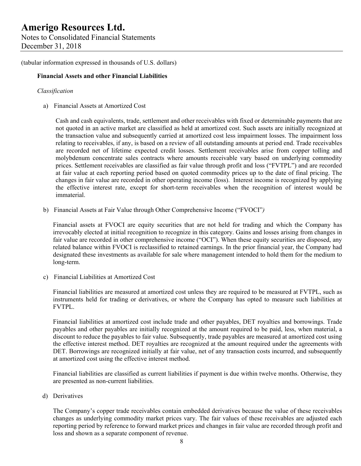#### **Financial Assets and other Financial Liabilities**

#### *Classification*

a) Financial Assets at Amortized Cost

Cash and cash equivalents, trade, settlement and other receivables with fixed or determinable payments that are not quoted in an active market are classified as held at amortized cost. Such assets are initially recognized at the transaction value and subsequently carried at amortized cost less impairment losses. The impairment loss relating to receivables, if any, is based on a review of all outstanding amounts at period end. Trade receivables are recorded net of lifetime expected credit losses. Settlement receivables arise from copper tolling and molybdenum concentrate sales contracts where amounts receivable vary based on underlying commodity prices. Settlement receivables are classified as fair value through profit and loss ("FVTPL") and are recorded at fair value at each reporting period based on quoted commodity prices up to the date of final pricing. The changes in fair value are recorded in other operating income (loss). Interest income is recognized by applying the effective interest rate, except for short-term receivables when the recognition of interest would be immaterial.

b) Financial Assets at Fair Value through Other Comprehensive Income ("FVOCI"*)* 

Financial assets at FVOCI are equity securities that are not held for trading and which the Company has irrevocably elected at initial recognition to recognize in this category. Gains and losses arising from changes in fair value are recorded in other comprehensive income ("OCI"). When these equity securities are disposed, any related balance within FVOCI is reclassified to retained earnings. In the prior financial year, the Company had designated these investments as available for sale where management intended to hold them for the medium to long-term.

c) Financial Liabilities at Amortized Cost

Financial liabilities are measured at amortized cost unless they are required to be measured at FVTPL, such as instruments held for trading or derivatives, or where the Company has opted to measure such liabilities at FVTPL.

Financial liabilities at amortized cost include trade and other payables, DET royalties and borrowings. Trade payables and other payables are initially recognized at the amount required to be paid, less, when material, a discount to reduce the payables to fair value. Subsequently, trade payables are measured at amortized cost using the effective interest method. DET royalties are recognized at the amount required under the agreements with DET. Borrowings are recognized initially at fair value, net of any transaction costs incurred, and subsequently at amortized cost using the effective interest method.

Financial liabilities are classified as current liabilities if payment is due within twelve months. Otherwise, they are presented as non-current liabilities.

d) Derivatives

The Company's copper trade receivables contain embedded derivatives because the value of these receivables changes as underlying commodity market prices vary. The fair values of these receivables are adjusted each reporting period by reference to forward market prices and changes in fair value are recorded through profit and loss and shown as a separate component of revenue.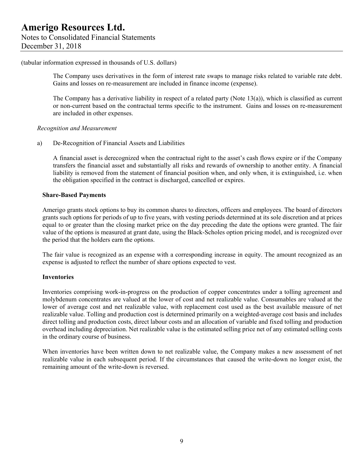The Company uses derivatives in the form of interest rate swaps to manage risks related to variable rate debt. Gains and losses on re-measurement are included in finance income (expense).

The Company has a derivative liability in respect of a related party (Note  $13(a)$ ), which is classified as current or non-current based on the contractual terms specific to the instrument. Gains and losses on re-measurement are included in other expenses.

*Recognition and Measurement* 

a) De-Recognition of Financial Assets and Liabilities

A financial asset is derecognized when the contractual right to the asset's cash flows expire or if the Company transfers the financial asset and substantially all risks and rewards of ownership to another entity. A financial liability is removed from the statement of financial position when, and only when, it is extinguished, i.e. when the obligation specified in the contract is discharged, cancelled or expires.

#### **Share-Based Payments**

Amerigo grants stock options to buy its common shares to directors, officers and employees. The board of directors grants such options for periods of up to five years, with vesting periods determined at its sole discretion and at prices equal to or greater than the closing market price on the day preceding the date the options were granted. The fair value of the options is measured at grant date, using the Black-Scholes option pricing model, and is recognized over the period that the holders earn the options.

The fair value is recognized as an expense with a corresponding increase in equity. The amount recognized as an expense is adjusted to reflect the number of share options expected to vest.

#### **Inventories**

Inventories comprising work-in-progress on the production of copper concentrates under a tolling agreement and molybdenum concentrates are valued at the lower of cost and net realizable value. Consumables are valued at the lower of average cost and net realizable value, with replacement cost used as the best available measure of net realizable value. Tolling and production cost is determined primarily on a weighted-average cost basis and includes direct tolling and production costs, direct labour costs and an allocation of variable and fixed tolling and production overhead including depreciation. Net realizable value is the estimated selling price net of any estimated selling costs in the ordinary course of business.

When inventories have been written down to net realizable value, the Company makes a new assessment of net realizable value in each subsequent period. If the circumstances that caused the write-down no longer exist, the remaining amount of the write-down is reversed.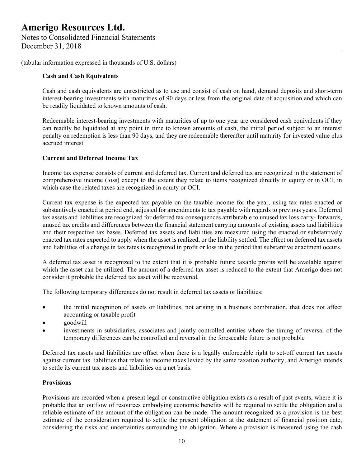December 31, 2018

(tabular information expressed in thousands of U.S. dollars)

#### **Cash and Cash Equivalents**

Cash and cash equivalents are unrestricted as to use and consist of cash on hand, demand deposits and short-term interest-bearing investments with maturities of 90 days or less from the original date of acquisition and which can be readily liquidated to known amounts of cash.

Redeemable interest-bearing investments with maturities of up to one year are considered cash equivalents if they can readily be liquidated at any point in time to known amounts of cash, the initial period subject to an interest penalty on redemption is less than 90 days, and they are redeemable thereafter until maturity for invested value plus accrued interest.

#### **Current and Deferred Income Tax**

Income tax expense consists of current and deferred tax. Current and deferred tax are recognized in the statement of comprehensive income (loss) except to the extent they relate to items recognized directly in equity or in OCI, in which case the related taxes are recognized in equity or OCI.

Current tax expense is the expected tax payable on the taxable income for the year, using tax rates enacted or substantively enacted at period end, adjusted for amendments to tax payable with regards to previous years. Deferred tax assets and liabilities are recognized for deferred tax consequences attributable to unused tax loss carry- forwards, unused tax credits and differences between the financial statement carrying amounts of existing assets and liabilities and their respective tax bases. Deferred tax assets and liabilities are measured using the enacted or substantively enacted tax rates expected to apply when the asset is realized, or the liability settled. The effect on deferred tax assets and liabilities of a change in tax rates is recognized in profit or loss in the period that substantive enactment occurs.

A deferred tax asset is recognized to the extent that it is probable future taxable profits will be available against which the asset can be utilized. The amount of a deferred tax asset is reduced to the extent that Amerigo does not consider it probable the deferred tax asset will be recovered.

The following temporary differences do not result in deferred tax assets or liabilities:

- the initial recognition of assets or liabilities, not arising in a business combination, that does not affect accounting or taxable profit
- goodwill
- investments in subsidiaries, associates and jointly controlled entities where the timing of reversal of the temporary differences can be controlled and reversal in the foreseeable future is not probable

Deferred tax assets and liabilities are offset when there is a legally enforceable right to set-off current tax assets against current tax liabilities that relate to income taxes levied by the same taxation authority, and Amerigo intends to settle its current tax assets and liabilities on a net basis.

#### **Provisions**

Provisions are recorded when a present legal or constructive obligation exists as a result of past events, where it is probable that an outflow of resources embodying economic benefits will be required to settle the obligation and a reliable estimate of the amount of the obligation can be made. The amount recognized as a provision is the best estimate of the consideration required to settle the present obligation at the statement of financial position date, considering the risks and uncertainties surrounding the obligation. Where a provision is measured using the cash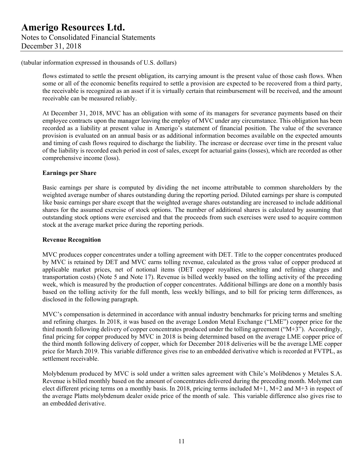flows estimated to settle the present obligation, its carrying amount is the present value of those cash flows. When some or all of the economic benefits required to settle a provision are expected to be recovered from a third party, the receivable is recognized as an asset if it is virtually certain that reimbursement will be received, and the amount receivable can be measured reliably.

At December 31, 2018, MVC has an obligation with some of its managers for severance payments based on their employee contracts upon the manager leaving the employ of MVC under any circumstance. This obligation has been recorded as a liability at present value in Amerigo's statement of financial position. The value of the severance provision is evaluated on an annual basis or as additional information becomes available on the expected amounts and timing of cash flows required to discharge the liability. The increase or decrease over time in the present value of the liability is recorded each period in cost of sales, except for actuarial gains (losses), which are recorded as other comprehensive income (loss).

#### **Earnings per Share**

Basic earnings per share is computed by dividing the net income attributable to common shareholders by the weighted average number of shares outstanding during the reporting period. Diluted earnings per share is computed like basic earnings per share except that the weighted average shares outstanding are increased to include additional shares for the assumed exercise of stock options. The number of additional shares is calculated by assuming that outstanding stock options were exercised and that the proceeds from such exercises were used to acquire common stock at the average market price during the reporting periods.

#### **Revenue Recognition**

MVC produces copper concentrates under a tolling agreement with DET. Title to the copper concentrates produced by MVC is retained by DET and MVC earns tolling revenue, calculated as the gross value of copper produced at applicable market prices, net of notional items (DET copper royalties, smelting and refining charges and transportation costs) (Note 5 and Note 17). Revenue is billed weekly based on the tolling activity of the preceding week, which is measured by the production of copper concentrates. Additional billings are done on a monthly basis based on the tolling activity for the full month, less weekly billings, and to bill for pricing term differences, as disclosed in the following paragraph.

MVC's compensation is determined in accordance with annual industry benchmarks for pricing terms and smelting and refining charges. In 2018, it was based on the average London Metal Exchange ("LME") copper price for the third month following delivery of copper concentrates produced under the tolling agreement ("M+3"). Accordingly, final pricing for copper produced by MVC in 2018 is being determined based on the average LME copper price of the third month following delivery of copper, which for December 2018 deliveries will be the average LME copper price for March 2019. This variable difference gives rise to an embedded derivative which is recorded at FVTPL, as settlement receivable.

Molybdenum produced by MVC is sold under a written sales agreement with Chile's Molibdenos y Metales S.A. Revenue is billed monthly based on the amount of concentrates delivered during the preceding month. Molymet can elect different pricing terms on a monthly basis. In 2018, pricing terms included M+1, M+2 and M+3 in respect of the average Platts molybdenum dealer oxide price of the month of sale. This variable difference also gives rise to an embedded derivative.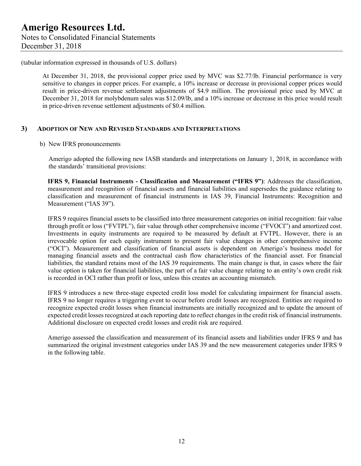At December 31, 2018, the provisional copper price used by MVC was \$2.77/lb. Financial performance is very sensitive to changes in copper prices. For example, a 10% increase or decrease in provisional copper prices would result in price-driven revenue settlement adjustments of \$4.9 million. The provisional price used by MVC at December 31, 2018 for molybdenum sales was \$12.09/lb, and a 10% increase or decrease in this price would result in price-driven revenue settlement adjustments of \$0.4 million.

#### **3) ADOPTION OF NEW AND REVISED STANDARDS AND INTERPRETATIONS**

b) New IFRS pronouncements

Amerigo adopted the following new IASB standards and interpretations on January 1, 2018, in accordance with the standards' transitional provisions:

**IFRS 9, Financial Instruments - Classification and Measurement ("IFRS 9")**: Addresses the classification, measurement and recognition of financial assets and financial liabilities and supersedes the guidance relating to classification and measurement of financial instruments in IAS 39, Financial Instruments: Recognition and Measurement ("IAS 39").

IFRS 9 requires financial assets to be classified into three measurement categories on initial recognition: fair value through profit or loss ("FVTPL"), fair value through other comprehensive income ("FVOCI") and amortized cost. Investments in equity instruments are required to be measured by default at FVTPL. However, there is an irrevocable option for each equity instrument to present fair value changes in other comprehensive income ("OCI"). Measurement and classification of financial assets is dependent on Amerigo's business model for managing financial assets and the contractual cash flow characteristics of the financial asset. For financial liabilities, the standard retains most of the IAS 39 requirements. The main change is that, in cases where the fair value option is taken for financial liabilities, the part of a fair value change relating to an entity's own credit risk is recorded in OCI rather than profit or loss, unless this creates an accounting mismatch.

IFRS 9 introduces a new three-stage expected credit loss model for calculating impairment for financial assets. IFRS 9 no longer requires a triggering event to occur before credit losses are recognized. Entities are required to recognize expected credit losses when financial instruments are initially recognized and to update the amount of expected credit losses recognized at each reporting date to reflect changes in the credit risk of financial instruments. Additional disclosure on expected credit losses and credit risk are required.

Amerigo assessed the classification and measurement of its financial assets and liabilities under IFRS 9 and has summarized the original investment categories under IAS 39 and the new measurement categories under IFRS 9 in the following table.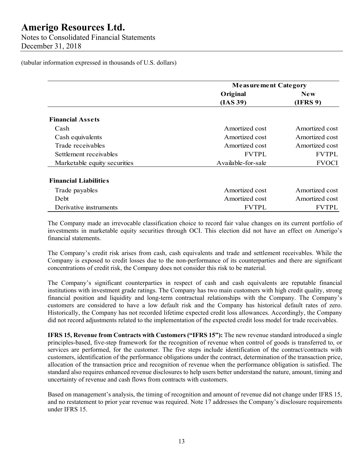Notes to Consolidated Financial Statements December 31, 2018

(tabular information expressed in thousands of U.S. dollars)

|                              | <b>Measurement Category</b> |                |
|------------------------------|-----------------------------|----------------|
|                              | Original                    | <b>New</b>     |
|                              | (IAS 39)                    | (IFRS 9)       |
| <b>Financial Assets</b>      |                             |                |
| Cash                         | Amortized cost              | Amortized cost |
| Cash equivalents             | Amortized cost              | Amortized cost |
| Trade receivables            | Amortized cost              | Amortized cost |
| Settlement receivables       | <b>FVTPL</b>                | <b>FVTPL</b>   |
| Marketable equity securities | Available-for-sale          | <b>FVOCI</b>   |
| <b>Financial Liabilities</b> |                             |                |
| Trade payables               | Amortized cost              | Amortized cost |
| Debt                         | Amortized cost              | Amortized cost |
| Derivative instruments       | <b>FVTPL</b>                | <b>FVTPL</b>   |

The Company made an irrevocable classification choice to record fair value changes on its current portfolio of investments in marketable equity securities through OCI. This election did not have an effect on Amerigo's financial statements.

The Company's credit risk arises from cash, cash equivalents and trade and settlement receivables. While the Company is exposed to credit losses due to the non-performance of its counterparties and there are significant concentrations of credit risk, the Company does not consider this risk to be material.

The Company's significant counterparties in respect of cash and cash equivalents are reputable financial institutions with investment grade ratings. The Company has two main customers with high credit quality, strong financial position and liquidity and long-term contractual relationships with the Company. The Company's customers are considered to have a low default risk and the Company has historical default rates of zero. Historically, the Company has not recorded lifetime expected credit loss allowances. Accordingly, the Company did not record adjustments related to the implementation of the expected credit loss model for trade receivables.

**IFRS 15, Revenue from Contracts with Customers ("IFRS 15"):** The new revenue standard introduced a single principles-based, five-step framework for the recognition of revenue when control of goods is transferred to, or services are performed, for the customer. The five steps include identification of the contract/contracts with customers, identification of the performance obligations under the contract, determination of the transaction price, allocation of the transaction price and recognition of revenue when the performance obligation is satisfied. The standard also requires enhanced revenue disclosures to help users better understand the nature, amount, timing and uncertainty of revenue and cash flows from contracts with customers.

Based on management's analysis, the timing of recognition and amount of revenue did not change under IFRS 15, and no restatement to prior year revenue was required. Note 17 addresses the Company's disclosure requirements under IFRS 15.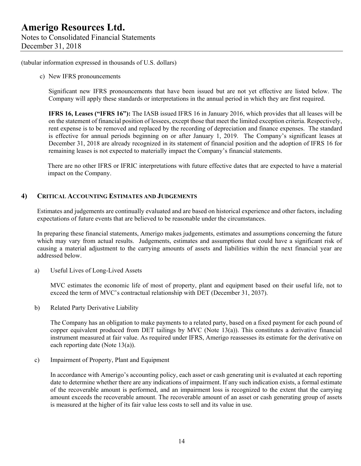c) New IFRS pronouncements

Significant new IFRS pronouncements that have been issued but are not yet effective are listed below. The Company will apply these standards or interpretations in the annual period in which they are first required.

**IFRS 16, Leases ("IFRS 16"):** The IASB issued IFRS 16 in January 2016, which provides that all leases will be on the statement of financial position of lessees, except those that meet the limited exception criteria. Respectively, rent expense is to be removed and replaced by the recording of depreciation and finance expenses. The standard is effective for annual periods beginning on or after January 1, 2019. The Company's significant leases at December 31, 2018 are already recognized in its statement of financial position and the adoption of IFRS 16 for remaining leases is not expected to materially impact the Company's financial statements.

There are no other IFRS or IFRIC interpretations with future effective dates that are expected to have a material impact on the Company.

#### **4) CRITICAL ACCOUNTING ESTIMATES AND JUDGEMENTS**

Estimates and judgements are continually evaluated and are based on historical experience and other factors, including expectations of future events that are believed to be reasonable under the circumstances.

In preparing these financial statements, Amerigo makes judgements, estimates and assumptions concerning the future which may vary from actual results. Judgements, estimates and assumptions that could have a significant risk of causing a material adjustment to the carrying amounts of assets and liabilities within the next financial year are addressed below.

a) Useful Lives of Long-Lived Assets

MVC estimates the economic life of most of property, plant and equipment based on their useful life, not to exceed the term of MVC's contractual relationship with DET (December 31, 2037).

b) Related Party Derivative Liability

The Company has an obligation to make payments to a related party, based on a fixed payment for each pound of copper equivalent produced from DET tailings by MVC (Note 13(a)). This constitutes a derivative financial instrument measured at fair value. As required under IFRS, Amerigo reassesses its estimate for the derivative on each reporting date (Note 13(a)).

c) Impairment of Property, Plant and Equipment

In accordance with Amerigo's accounting policy, each asset or cash generating unit is evaluated at each reporting date to determine whether there are any indications of impairment. If any such indication exists, a formal estimate of the recoverable amount is performed, and an impairment loss is recognized to the extent that the carrying amount exceeds the recoverable amount. The recoverable amount of an asset or cash generating group of assets is measured at the higher of its fair value less costs to sell and its value in use.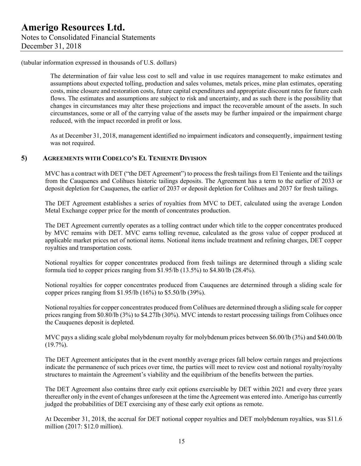The determination of fair value less cost to sell and value in use requires management to make estimates and assumptions about expected tolling, production and sales volumes, metals prices, mine plan estimates, operating costs, mine closure and restoration costs, future capital expenditures and appropriate discount rates for future cash flows. The estimates and assumptions are subject to risk and uncertainty, and as such there is the possibility that changes in circumstances may alter these projections and impact the recoverable amount of the assets. In such circumstances, some or all of the carrying value of the assets may be further impaired or the impairment charge reduced, with the impact recorded in profit or loss.

As at December 31, 2018, management identified no impairment indicators and consequently, impairment testing was not required.

#### **5) AGREEMENTS WITH CODELCO'S EL TENIENTE DIVISION**

MVC has a contract with DET ("the DET Agreement") to process the fresh tailings from El Teniente and the tailings from the Cauquenes and Colihues historic tailings deposits. The Agreement has a term to the earlier of 2033 or deposit depletion for Cauquenes, the earlier of 2037 or deposit depletion for Colihues and 2037 for fresh tailings.

The DET Agreement establishes a series of royalties from MVC to DET, calculated using the average London Metal Exchange copper price for the month of concentrates production.

The DET Agreement currently operates as a tolling contract under which title to the copper concentrates produced by MVC remains with DET. MVC earns tolling revenue, calculated as the gross value of copper produced at applicable market prices net of notional items. Notional items include treatment and refining charges, DET copper royalties and transportation costs.

Notional royalties for copper concentrates produced from fresh tailings are determined through a sliding scale formula tied to copper prices ranging from \$1.95/lb (13.5%) to \$4.80/lb (28.4%).

Notional royalties for copper concentrates produced from Cauquenes are determined through a sliding scale for copper prices ranging from \$1.95/lb (16%) to \$5.50/lb (39%).

Notional royalties for copper concentrates produced from Colihues are determined through a sliding scale for copper prices ranging from \$0.80/lb (3%) to \$4.27lb (30%). MVC intends to restart processing tailings from Colihues once the Cauquenes deposit is depleted.

MVC pays a sliding scale global molybdenum royalty for molybdenum prices between \$6.00/lb (3%) and \$40.00/lb  $(19.7\%)$ .

The DET Agreement anticipates that in the event monthly average prices fall below certain ranges and projections indicate the permanence of such prices over time, the parties will meet to review cost and notional royalty/royalty structures to maintain the Agreement's viability and the equilibrium of the benefits between the parties.

The DET Agreement also contains three early exit options exercisable by DET within 2021 and every three years thereafter only in the event of changes unforeseen at the time the Agreement was entered into. Amerigo has currently judged the probabilities of DET exercising any of these early exit options as remote.

At December 31, 2018, the accrual for DET notional copper royalties and DET molybdenum royalties, was \$11.6 million (2017: \$12.0 million).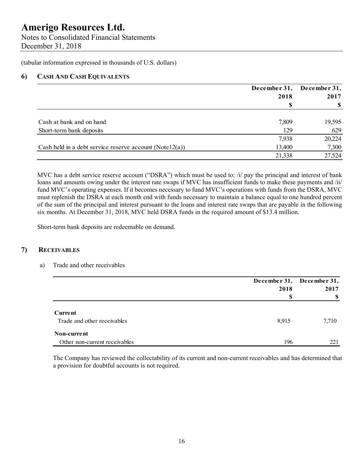### **Amerigo Resources Ltd.**  Notes to Consolidated Financial Statements

December 31, 2018

(tabular information expressed in thousands of U.S. dollars)

#### **6) CASH AND CASH EQUIVALENTS**

|                                                             | December 31, | December 31, |  |
|-------------------------------------------------------------|--------------|--------------|--|
|                                                             | 2018         | 2017         |  |
|                                                             | S            |              |  |
|                                                             |              |              |  |
| Cash at bank and on hand                                    | 7,809        | 19,595       |  |
| Short-term bank deposits                                    | 129          | 629          |  |
|                                                             | 7,938        | 20,224       |  |
| Cash held in a debt service reserve account (Note $12(a)$ ) | 13,400       | 7,300        |  |
|                                                             | 21,338       | 27,524       |  |

MVC has a debt service reserve account ("DSRA") which must be used to: /i/ pay the principal and interest of bank loans and amounts owing under the interest rate swaps if MVC has insufficient funds to make these payments and /ii/ fund MVC's operating expenses. If it becomes necessary to fund MVC's operations with funds from the DSRA, MVC must replenish the DSRA at each month end with funds necessary to maintain a balance equal to one hundred percent of the sum of the principal and interest pursuant to the loans and interest rate swaps that are payable in the following six months. At December 31, 2018, MVC held DSRA funds in the required amount of \$13.4 million.

Short-term bank deposits are redeemable on demand.

#### **7) RECEIVABLES**

#### a) Trade and other receivables

|                                              | December 31,<br>2018 | December 31,<br>2017 |
|----------------------------------------------|----------------------|----------------------|
| Current<br>Trade and other receivables       | S<br>8,915           | -S<br>7,710          |
| Non-current<br>Other non-current receivables | 196                  | 221                  |

The Company has reviewed the collectability of its current and non-current receivables and has determined that a provision for doubtful accounts is not required.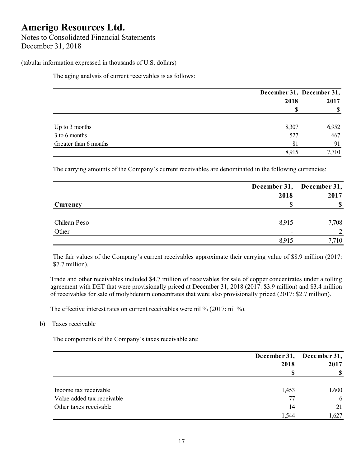The aging analysis of current receivables is as follows:

|                       |       | December 31, December 31, |
|-----------------------|-------|---------------------------|
|                       | 2018  | 2017                      |
|                       |       | <b>S</b>                  |
| Up to 3 months        | 8,307 | 6,952                     |
| 3 to 6 months         | 527   | 667                       |
| Greater than 6 months | 81    | 91                        |
|                       | 8,915 | 7,710                     |

The carrying amounts of the Company's current receivables are denominated in the following currencies:

|              |       | December 31, December 31, |
|--------------|-------|---------------------------|
|              | 2018  | 2017                      |
| Currency     | -S    | <sup>S</sup>              |
|              |       |                           |
| Chilean Peso | 8,915 | 7,708                     |
| Other        | ٠     | $\overline{2}$            |
|              | 8,915 | 7,710                     |

The fair values of the Company's current receivables approximate their carrying value of \$8.9 million (2017: \$7.7 million).

Trade and other receivables included \$4.7 million of receivables for sale of copper concentrates under a tolling agreement with DET that were provisionally priced at December 31, 2018 (2017: \$3.9 million) and \$3.4 million of receivables for sale of molybdenum concentrates that were also provisionally priced (2017: \$2.7 million).

The effective interest rates on current receivables were nil % (2017: nil %).

b) Taxes receivable

The components of the Company's taxes receivable are:

|                            |       | December 31, December 31, |
|----------------------------|-------|---------------------------|
|                            | 2018  | 2017                      |
|                            |       | <b>S</b>                  |
| Income tax receivable      | 1,453 | 1,600                     |
| Value added tax receivable |       | 6                         |
| Other taxes receivable     | 14    | 21                        |
|                            | 1.544 | 1,627                     |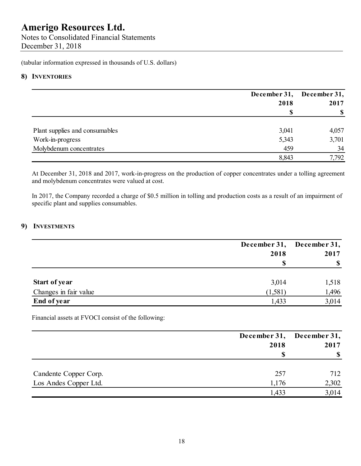Notes to Consolidated Financial Statements December 31, 2018

(tabular information expressed in thousands of U.S. dollars)

#### **8) INVENTORIES**

|                                | December 31, | December 31,  |
|--------------------------------|--------------|---------------|
|                                | 2018         | 2017          |
|                                | \$           | $\mathbf{\$}$ |
| Plant supplies and consumables | 3,041        | 4,057         |
| Work-in-progress               | 5,343        | 3,701         |
| Molybdenum concentrates        | 459          | 34            |
|                                | 8,843        | 7,792         |

At December 31, 2018 and 2017, work-in-progress on the production of copper concentrates under a tolling agreement and molybdenum concentrates were valued at cost.

In 2017, the Company recorded a charge of \$0.5 million in tolling and production costs as a result of an impairment of specific plant and supplies consumables.

#### **9) INVESTMENTS**

|                       | 2018    | December 31, December 31,<br>2017 |
|-----------------------|---------|-----------------------------------|
|                       | \$      | <sup>\$</sup>                     |
| Start of year         | 3,014   | 1,518                             |
| Changes in fair value | (1,581) | 1,496                             |
| End of year           | 1,433   | 3,014                             |

Financial assets at FVOCI consist of the following:

|                       |       | December 31, December 31, |  |
|-----------------------|-------|---------------------------|--|
|                       | 2018  | 2017                      |  |
|                       | S     | $\mathbf S$               |  |
| Candente Copper Corp. | 257   | 712                       |  |
| Los Andes Copper Ltd. | 1,176 | 2,302                     |  |
|                       | 1,433 | 3,014                     |  |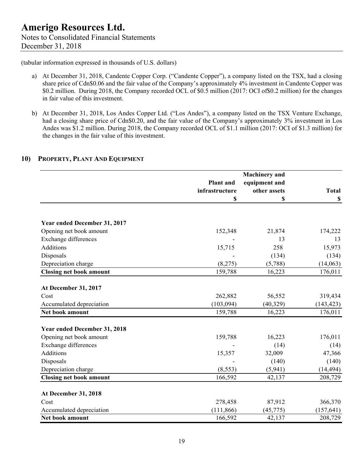- a) At December 31, 2018, Candente Copper Corp. ("Candente Copper"), a company listed on the TSX, had a closing share price of Cdn\$0.06 and the fair value of the Company's approximately 4% investment in Candente Copper was \$0.2 million. During 2018, the Company recorded OCL of \$0.5 million (2017: OCI of\$0.2 million) for the changes in fair value of this investment.
- b) At December 31, 2018, Los Andes Copper Ltd. ("Los Andes"), a company listed on the TSX Venture Exchange, had a closing share price of Cdn\$0.20, and the fair value of the Company's approximately 3% investment in Los Andes was \$1.2 million. During 2018, the Company recorded OCL of \$1.1 million (2017: OCI of \$1.3 million) for the changes in the fair value of this investment.

#### **10) PROPERTY, PLANT AND EQUIPMENT**

|                                |                  | <b>Machinery</b> and |              |
|--------------------------------|------------------|----------------------|--------------|
|                                | <b>Plant</b> and | equipment and        |              |
|                                | infrastructure   | other assets         | <b>Total</b> |
|                                | \$               | \$                   | \$           |
|                                |                  |                      |              |
| Year ended December 31, 2017   |                  |                      |              |
| Opening net book amount        | 152,348          | 21,874               | 174,222      |
| <b>Exchange differences</b>    |                  | 13                   | 13           |
| Additions                      | 15,715           | 258                  | 15,973       |
| Disposals                      |                  | (134)                | (134)        |
| Depreciation charge            | (8,275)          | (5,788)              | (14,063)     |
| <b>Closing net book amount</b> | 159,788          | 16,223               | 176,011      |
|                                |                  |                      |              |
| At December 31, 2017           |                  |                      |              |
| Cost                           | 262,882          | 56,552               | 319,434      |
| Accumulated depreciation       | (103, 094)       | (40, 329)            | (143, 423)   |
| Net book amount                | 159,788          | 16,223               | 176,011      |
| Year ended December 31, 2018   |                  |                      |              |
| Opening net book amount        | 159,788          | 16,223               | 176,011      |
| <b>Exchange differences</b>    |                  | (14)                 | (14)         |
| Additions                      | 15,357           | 32,009               | 47,366       |
| Disposals                      |                  | (140)                | (140)        |
| Depreciation charge            | (8, 553)         | (5,941)              | (14, 494)    |
| <b>Closing net book amount</b> | 166,592          | 42,137               | 208,729      |
|                                |                  |                      |              |
| At December 31, 2018           |                  |                      |              |
| Cost                           | 278,458          | 87,912               | 366,370      |
| Accumulated depreciation       | (111, 866)       | (45, 775)            | (157, 641)   |
| Net book amount                | 166,592          | 42,137               | 208,729      |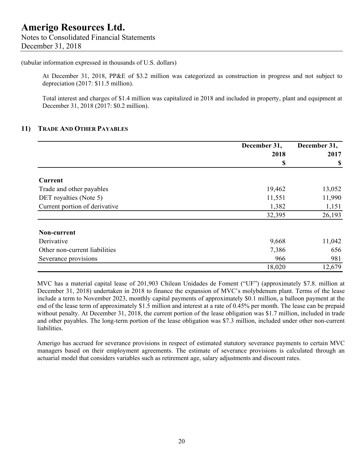At December 31, 2018, PP&E of \$3.2 million was categorized as construction in progress and not subject to depreciation (2017: \$11.5 million).

Total interest and charges of \$1.4 million was capitalized in 2018 and included in property, plant and equipment at December 31, 2018 (2017: \$0.2 million).

#### **11) TRADE AND OTHER PAYABLES**

|                               | December 31, | December 31, |
|-------------------------------|--------------|--------------|
|                               | 2018         | 2017         |
|                               | \$           | \$           |
| <b>Current</b>                |              |              |
| Trade and other payables      | 19,462       | 13,052       |
| DET royalties (Note 5)        | 11,551       | 11,990       |
| Current portion of derivative | 1,382        | 1,151        |
|                               | 32,395       | 26,193       |
| Non-current                   |              |              |
| Derivative                    | 9,668        | 11,042       |
| Other non-current liabilities | 7,386        | 656          |
| Severance provisions          | 966          | 981          |
|                               | 18,020       | 12,679       |

MVC has a material capital lease of 201,903 Chilean Unidades de Foment ("UF") (approximately \$7.8. million at December 31, 2018) undertaken in 2018 to finance the expansion of MVC's molybdenum plant. Terms of the lease include a term to November 2023, monthly capital payments of approximately \$0.1 million, a balloon payment at the end of the lease term of approximately \$1.5 million and interest at a rate of 0.45% per month. The lease can be prepaid without penalty. At December 31, 2018, the current portion of the lease obligation was \$1.7 million, included in trade and other payables. The long-term portion of the lease obligation was \$7.3 million, included under other non-current liabilities.

Amerigo has accrued for severance provisions in respect of estimated statutory severance payments to certain MVC managers based on their employment agreements. The estimate of severance provisions is calculated through an actuarial model that considers variables such as retirement age, salary adjustments and discount rates.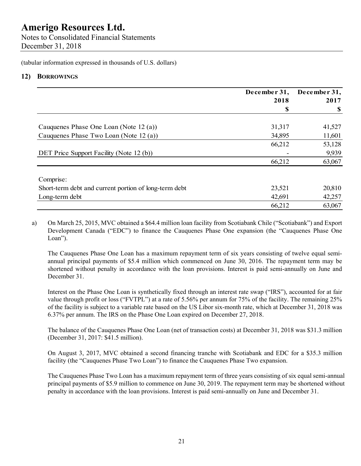Notes to Consolidated Financial Statements December 31, 2018

(tabular information expressed in thousands of U.S. dollars)

#### **12) BORROWINGS**

|                                                       | December 31, | December 31, |
|-------------------------------------------------------|--------------|--------------|
|                                                       | 2018         | 2017         |
|                                                       | S            | S            |
| Cauquenes Phase One Loan (Note 12 (a))                | 31,317       | 41,527       |
| Cauquenes Phase Two Loan (Note 12 (a))                | 34,895       | 11,601       |
|                                                       | 66,212       | 53,128       |
| DET Price Support Facility (Note 12 (b))              |              | 9,939        |
|                                                       | 66,212       | 63,067       |
| Comprise:                                             |              |              |
| Short-term debt and current portion of long-term debt | 23,521       | 20,810       |
| Long-term debt                                        | 42,691       | 42,257       |
|                                                       | 66,212       | 63,067       |

a) On March 25, 2015, MVC obtained a \$64.4 million loan facility from Scotiabank Chile ("Scotiabank") and Export Development Canada ("EDC") to finance the Cauquenes Phase One expansion (the "Cauquenes Phase One Loan").

The Cauquenes Phase One Loan has a maximum repayment term of six years consisting of twelve equal semiannual principal payments of \$5.4 million which commenced on June 30, 2016. The repayment term may be shortened without penalty in accordance with the loan provisions. Interest is paid semi-annually on June and December 31.

Interest on the Phase One Loan is synthetically fixed through an interest rate swap ("IRS"), accounted for at fair value through profit or loss ("FVTPL") at a rate of 5.56% per annum for 75% of the facility. The remaining 25% of the facility is subject to a variable rate based on the US Libor six-month rate, which at December 31, 2018 was 6.37% per annum. The IRS on the Phase One Loan expired on December 27, 2018.

The balance of the Cauquenes Phase One Loan (net of transaction costs) at December 31, 2018 was \$31.3 million (December 31, 2017: \$41.5 million).

On August 3, 2017, MVC obtained a second financing tranche with Scotiabank and EDC for a \$35.3 million facility (the "Cauquenes Phase Two Loan") to finance the Cauquenes Phase Two expansion.

 The Cauquenes Phase Two Loan has a maximum repayment term of three years consisting of six equal semi-annual principal payments of \$5.9 million to commence on June 30, 2019. The repayment term may be shortened without penalty in accordance with the loan provisions. Interest is paid semi-annually on June and December 31.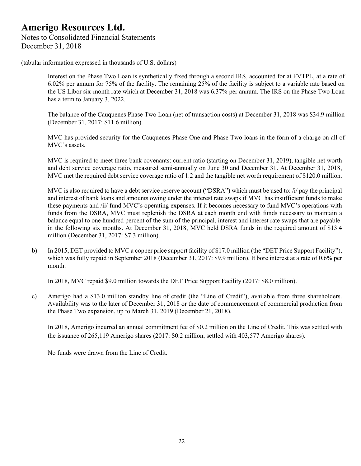Interest on the Phase Two Loan is synthetically fixed through a second IRS, accounted for at FVTPL, at a rate of 6.02% per annum for 75% of the facility. The remaining 25% of the facility is subject to a variable rate based on the US Libor six-month rate which at December 31, 2018 was 6.37% per annum. The IRS on the Phase Two Loan has a term to January 3, 2022.

 The balance of the Cauquenes Phase Two Loan (net of transaction costs) at December 31, 2018 was \$34.9 million (December 31, 2017: \$11.6 million).

 MVC has provided security for the Cauquenes Phase One and Phase Two loans in the form of a charge on all of MVC's assets.

MVC is required to meet three bank covenants: current ratio (starting on December 31, 2019), tangible net worth and debt service coverage ratio, measured semi-annually on June 30 and December 31. At December 31, 2018, MVC met the required debt service coverage ratio of 1.2 and the tangible net worth requirement of \$120.0 million.

MVC is also required to have a debt service reserve account ("DSRA") which must be used to:  $/i$  pay the principal and interest of bank loans and amounts owing under the interest rate swaps if MVC has insufficient funds to make these payments and /ii/ fund MVC's operating expenses. If it becomes necessary to fund MVC's operations with funds from the DSRA, MVC must replenish the DSRA at each month end with funds necessary to maintain a balance equal to one hundred percent of the sum of the principal, interest and interest rate swaps that are payable in the following six months. At December 31, 2018, MVC held DSRA funds in the required amount of \$13.4 million (December 31, 2017: \$7.3 million).

b) In 2015, DET provided to MVC a copper price support facility of \$17.0 million (the "DET Price Support Facility"), which was fully repaid in September 2018 (December 31, 2017: \$9.9 million). It bore interest at a rate of 0.6% per month.

In 2018, MVC repaid \$9.0 million towards the DET Price Support Facility (2017: \$8.0 million).

c) Amerigo had a \$13.0 million standby line of credit (the "Line of Credit"), available from three shareholders. Availability was to the later of December 31, 2018 or the date of commencement of commercial production from the Phase Two expansion, up to March 31, 2019 (December 21, 2018).

In 2018, Amerigo incurred an annual commitment fee of \$0.2 million on the Line of Credit. This was settled with the issuance of 265,119 Amerigo shares (2017: \$0.2 million, settled with 403,577 Amerigo shares).

No funds were drawn from the Line of Credit.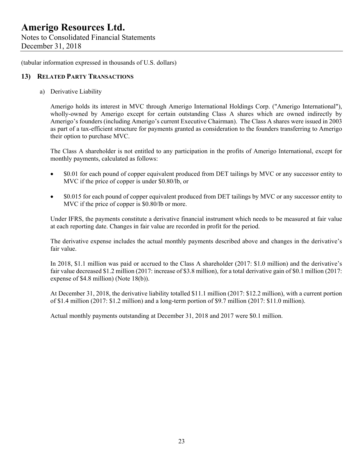#### **13) RELATED PARTY TRANSACTIONS**

a) Derivative Liability

Amerigo holds its interest in MVC through Amerigo International Holdings Corp. ("Amerigo International"), wholly-owned by Amerigo except for certain outstanding Class A shares which are owned indirectly by Amerigo's founders (including Amerigo's current Executive Chairman). The Class A shares were issued in 2003 as part of a tax-efficient structure for payments granted as consideration to the founders transferring to Amerigo their option to purchase MVC.

The Class A shareholder is not entitled to any participation in the profits of Amerigo International, except for monthly payments, calculated as follows:

- \$0.01 for each pound of copper equivalent produced from DET tailings by MVC or any successor entity to MVC if the price of copper is under \$0.80/lb, or
- \$0.015 for each pound of copper equivalent produced from DET tailings by MVC or any successor entity to MVC if the price of copper is \$0.80/lb or more.

Under IFRS, the payments constitute a derivative financial instrument which needs to be measured at fair value at each reporting date. Changes in fair value are recorded in profit for the period.

The derivative expense includes the actual monthly payments described above and changes in the derivative's fair value.

In 2018, \$1.1 million was paid or accrued to the Class A shareholder (2017: \$1.0 million) and the derivative's fair value decreased \$1.2 million (2017: increase of \$3.8 million), for a total derivative gain of \$0.1 million (2017: expense of \$4.8 million) (Note 18(b)).

At December 31, 2018, the derivative liability totalled \$11.1 million (2017: \$12.2 million), with a current portion of \$1.4 million (2017: \$1.2 million) and a long-term portion of \$9.7 million (2017: \$11.0 million).

Actual monthly payments outstanding at December 31, 2018 and 2017 were \$0.1 million.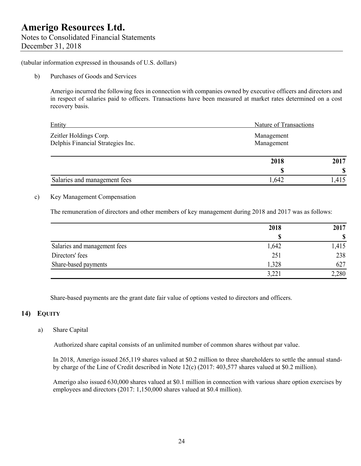### **Amerigo Resources Ltd.**  Notes to Consolidated Financial Statements December 31, 2018

(tabular information expressed in thousands of U.S. dollars)

b) Purchases of Goods and Services

Amerigo incurred the following fees in connection with companies owned by executive officers and directors and in respect of salaries paid to officers. Transactions have been measured at market rates determined on a cost recovery basis.

| Entity                                                      | Nature of Transactions   |       |
|-------------------------------------------------------------|--------------------------|-------|
| Zeitler Holdings Corp.<br>Delphis Financial Strategies Inc. | Management<br>Management |       |
|                                                             | 2018                     | 2017  |
|                                                             | S                        |       |
| Salaries and management fees                                | 1,642                    | l,415 |

#### c) Key Management Compensation

The remuneration of directors and other members of key management during 2018 and 2017 was as follows:

|                              | 2018  | 2017  |
|------------------------------|-------|-------|
|                              |       | \$    |
| Salaries and management fees | 1,642 | 1,415 |
| Directors' fees              | 251   | 238   |
| Share-based payments         | 1,328 | 627   |
|                              | 3,221 | 2,280 |

Share-based payments are the grant date fair value of options vested to directors and officers.

#### **14) EQUITY**

#### a) Share Capital

Authorized share capital consists of an unlimited number of common shares without par value.

In 2018, Amerigo issued 265,119 shares valued at \$0.2 million to three shareholders to settle the annual standby charge of the Line of Credit described in Note 12(c) (2017: 403,577 shares valued at \$0.2 million).

Amerigo also issued 630,000 shares valued at \$0.1 million in connection with various share option exercises by employees and directors (2017: 1,150,000 shares valued at \$0.4 million).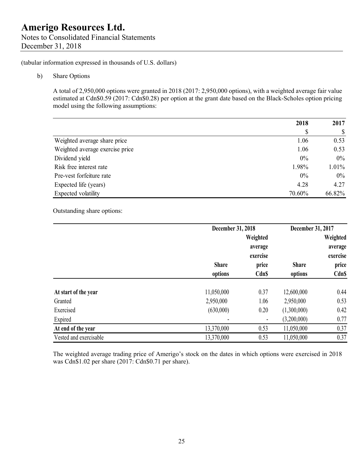b) Share Options

A total of 2,950,000 options were granted in 2018 (2017: 2,950,000 options), with a weighted average fair value estimated at Cdn\$0.59 (2017: Cdn\$0.28) per option at the grant date based on the Black-Scholes option pricing model using the following assumptions:

|                                 | 2018   | 2017     |
|---------------------------------|--------|----------|
|                                 | \$     | \$       |
| Weighted average share price    | 1.06   | 0.53     |
| Weighted average exercise price | 1.06   | 0.53     |
| Dividend yield                  | $0\%$  | $0\%$    |
| Risk free interest rate         | 1.98%  | $1.01\%$ |
| Pre-vest forfeiture rate        | 0%     | $0\%$    |
| Expected life (years)           | 4.28   | 4.27     |
| Expected volatility             | 70.60% | 66.82%   |

Outstanding share options:

|                        |              | December 31, 2018 |              | December 31, 2017 |  |
|------------------------|--------------|-------------------|--------------|-------------------|--|
|                        |              | Weighted          |              | Weighted          |  |
|                        |              | average           |              | average           |  |
|                        |              | exercise          |              | exercise          |  |
|                        | <b>Share</b> | price             | <b>Share</b> | price             |  |
|                        | options      | <b>Cdn\$</b>      | options      | <b>Cdn\$</b>      |  |
| At start of the year   | 11,050,000   | 0.37              | 12,600,000   | 0.44              |  |
| Granted                | 2,950,000    | 1.06              | 2,950,000    | 0.53              |  |
| Exercised              | (630,000)    | 0.20              | (1,300,000)  | 0.42              |  |
| Expired                |              | $\blacksquare$    | (3,200,000)  | 0.77              |  |
| At end of the year     | 13,370,000   | 0.53              | 11,050,000   | 0.37              |  |
| Vested and exercisable | 13,370,000   | 0.53              | 11,050,000   | 0.37              |  |

The weighted average trading price of Amerigo's stock on the dates in which options were exercised in 2018 was Cdn\$1.02 per share (2017: Cdn\$0.71 per share).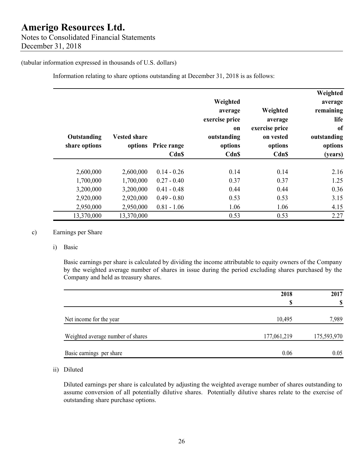### **Amerigo Resources Ltd.**  Notes to Consolidated Financial Statements December 31, 2018

#### (tabular information expressed in thousands of U.S. dollars)

Information relating to share options outstanding at December 31, 2018 is as follows:

| Weighted<br>average<br>remaining<br>life<br><sub>of</sub><br>outstanding<br>options<br>(years) | Weighted<br>average<br>exercise price<br>on vested<br>options<br><b>Cdn\$</b> | Weighted<br>average<br>exercise price<br><sub>on</sub><br>outstanding<br>options<br><b>Cdn\$</b> | <b>Price range</b><br>Cdn\$ | <b>Vested share</b><br>options | Outstanding<br>share options |
|------------------------------------------------------------------------------------------------|-------------------------------------------------------------------------------|--------------------------------------------------------------------------------------------------|-----------------------------|--------------------------------|------------------------------|
| 2.16                                                                                           | 0.14                                                                          | 0.14                                                                                             | $0.14 - 0.26$               | 2,600,000                      | 2,600,000                    |
| 1.25                                                                                           | 0.37                                                                          | 0.37                                                                                             | $0.27 - 0.40$               | 1,700,000                      | 1,700,000                    |
| 0.36                                                                                           | 0.44                                                                          | 0.44                                                                                             | $0.41 - 0.48$               | 3,200,000                      | 3,200,000                    |
| 3.15                                                                                           | 0.53                                                                          | 0.53                                                                                             | $0.49 - 0.80$               | 2,920,000                      | 2,920,000                    |
| 4.15                                                                                           | 1.06                                                                          | 1.06                                                                                             | $0.81 - 1.06$               | 2,950,000                      | 2,950,000                    |
| 2.27                                                                                           | 0.53                                                                          | 0.53                                                                                             |                             | 13,370,000                     | 13,370,000                   |

#### c) Earnings per Share

#### i) Basic

Basic earnings per share is calculated by dividing the income attributable to equity owners of the Company by the weighted average number of shares in issue during the period excluding shares purchased by the Company and held as treasury shares.

|                                   | 2018        | 2017        |
|-----------------------------------|-------------|-------------|
|                                   | \$          | S           |
| Net income for the year           | 10,495      | 7,989       |
| Weighted average number of shares | 177,061,219 | 175,593,970 |
| Basic earnings per share          | 0.06        | 0.05        |

#### ii) Diluted

Diluted earnings per share is calculated by adjusting the weighted average number of shares outstanding to assume conversion of all potentially dilutive shares. Potentially dilutive shares relate to the exercise of outstanding share purchase options.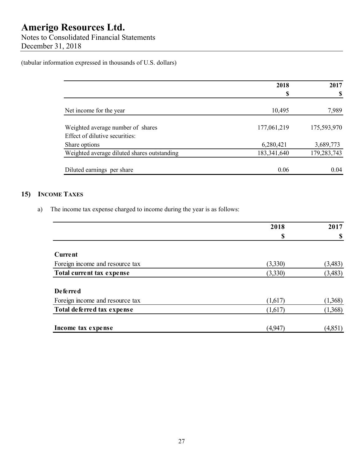Notes to Consolidated Financial Statements December 31, 2018

(tabular information expressed in thousands of U.S. dollars)

|                                                 | 2018        | 2017        |
|-------------------------------------------------|-------------|-------------|
|                                                 | \$          |             |
| Net income for the year                         | 10,495      | 7,989       |
| Weighted average number of shares               | 177,061,219 | 175,593,970 |
| Effect of dilutive securities:<br>Share options | 6,280,421   | 3,689,773   |
| Weighted average diluted shares outstanding     | 183,341,640 | 179,283,743 |
| Diluted earnings per share                      | 0.06        | 0.04        |

### **15) INCOME TAXES**

a) The income tax expense charged to income during the year is as follows:

|                                 | 2018    | 2017    |
|---------------------------------|---------|---------|
|                                 | S       | \$      |
|                                 |         |         |
| Current                         |         |         |
| Foreign income and resource tax | (3,330) | (3,483) |
| Total current tax expense       | (3,330) | (3,483) |
| <b>Deferred</b>                 |         |         |
| Foreign income and resource tax | (1,617) | (1,368) |
| Total deferred tax expense      | (1,617) | (1,368) |
| Income tax expense              | (4,947) | (4,851) |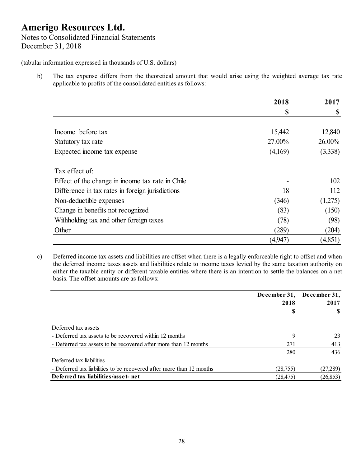b) The tax expense differs from the theoretical amount that would arise using the weighted average tax rate applicable to profits of the consolidated entities as follows:

|                                                  | 2018    | 2017<br>\$ |
|--------------------------------------------------|---------|------------|
|                                                  | S       |            |
|                                                  |         |            |
| Income before tax                                | 15,442  | 12,840     |
| Statutory tax rate                               | 27.00%  | 26.00%     |
| Expected income tax expense                      | (4,169) | (3,338)    |
| Tax effect of:                                   |         |            |
| Effect of the change in income tax rate in Chile |         | 102        |
| Difference in tax rates in foreign jurisdictions | 18      | 112        |
| Non-deductible expenses                          | (346)   | (1,275)    |
| Change in benefits not recognized                | (83)    | (150)      |
| Withholding tax and other foreign taxes          | (78)    | (98)       |
| Other                                            | (289)   | (204)      |
|                                                  | (4,947) | (4,851)    |

c) Deferred income tax assets and liabilities are offset when there is a legally enforceable right to offset and when the deferred income taxes assets and liabilities relate to income taxes levied by the same taxation authority on either the taxable entity or different taxable entities where there is an intention to settle the balances on a net basis. The offset amounts are as follows:

|                                                                      | December 31, | December 31, |
|----------------------------------------------------------------------|--------------|--------------|
|                                                                      | 2018         | 2017         |
|                                                                      | \$           |              |
| Deferred tax assets                                                  |              |              |
| - Deferred tax assets to be recovered within 12 months               | 9            | 23           |
| - Deferred tax assets to be recovered after more than 12 months      | 271          | 413          |
|                                                                      | 280          | 436          |
| Deferred tax liabilities                                             |              |              |
| - Deferred tax liabilities to be recovered after more than 12 months | (28, 755)    | (27,289)     |
| Deferred tax liabilities/asset-net                                   | (28, 475)    | (26, 853)    |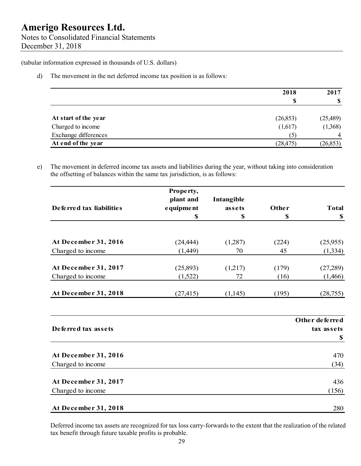d) The movement in the net deferred income tax position is as follows:

|                      | 2018      | 2017           |
|----------------------|-----------|----------------|
|                      | \$        | \$             |
| At start of the year | (26, 853) | (25,489)       |
| Charged to income    | (1,617)   | (1,368)        |
| Exchange differences | (5)       | $\overline{4}$ |
| At end of the year   | (28, 475) | (26, 853)      |

e) The movement in deferred income tax assets and liabilities during the year, without taking into consideration the offsetting of balances within the same tax jurisdiction, is as follows:

|                          | Property, |            |       |                  |
|--------------------------|-----------|------------|-------|------------------|
|                          | plant and | Intangible |       |                  |
| Deferred tax liabilities | equipment | assets     | Other | <b>Total</b>     |
|                          | \$        | \$         | \$    | \$               |
| At December 31, 2016     | (24, 444) | (1,287)    | (224) | (25,955)         |
| Charged to income        | (1,449)   | 70         | 45    | (1, 334)         |
| At December 31, 2017     | (25,893)  | (1,217)    | (179) | (27,289)         |
| Charged to income        | (1,522)   | 72         | (16)  | (1,466)          |
| At December 31, 2018     | (27, 415) | (1,145)    | (195) | (28,755)         |
|                          |           |            |       | Other deferred   |
| Deferred tax assets      |           |            |       | tax assets<br>\$ |
| At December 31, 2016     |           |            |       | 470              |
| Charged to income        |           |            |       | (34)             |
| At December 31, 2017     |           |            |       | 436              |
| Charged to income        |           |            |       | (156)            |
| At December 31, 2018     |           |            |       | 280              |

Deferred income tax assets are recognized for tax loss carry-forwards to the extent that the realization of the related tax benefit through future taxable profits is probable.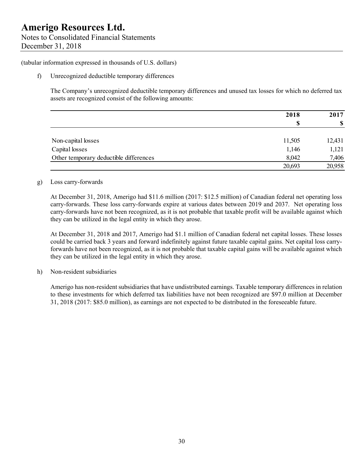f) Unrecognized deductible temporary differences

 The Company's unrecognized deductible temporary differences and unused tax losses for which no deferred tax assets are recognized consist of the following amounts:

|                                        | 2018<br>S | 2017<br><b>S</b> |
|----------------------------------------|-----------|------------------|
|                                        |           |                  |
| Non-capital losses                     | 11,505    | 12,431           |
| Capital losses                         | 1,146     | 1,121            |
| Other temporary deductible differences | 8,042     | 7,406            |
|                                        | 20,693    | 20,958           |

#### g) Loss carry-forwards

At December 31, 2018, Amerigo had \$11.6 million (2017: \$12.5 million) of Canadian federal net operating loss carry-forwards. These loss carry-forwards expire at various dates between 2019 and 2037. Net operating loss carry-forwards have not been recognized, as it is not probable that taxable profit will be available against which they can be utilized in the legal entity in which they arose.

At December 31, 2018 and 2017, Amerigo had \$1.1 million of Canadian federal net capital losses. These losses could be carried back 3 years and forward indefinitely against future taxable capital gains. Net capital loss carryforwards have not been recognized, as it is not probable that taxable capital gains will be available against which they can be utilized in the legal entity in which they arose.

#### h) Non-resident subsidiaries

Amerigo has non-resident subsidiaries that have undistributed earnings. Taxable temporary differences in relation to these investments for which deferred tax liabilities have not been recognized are \$97.0 million at December 31, 2018 (2017: \$85.0 million), as earnings are not expected to be distributed in the foreseeable future.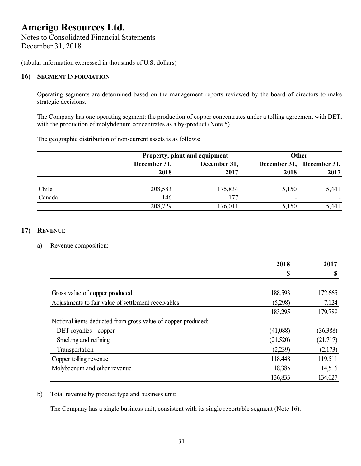Notes to Consolidated Financial Statements December 31, 2018

(tabular information expressed in thousands of U.S. dollars)

#### **16) SEGMENT INFORMATION**

Operating segments are determined based on the management reports reviewed by the board of directors to make strategic decisions.

The Company has one operating segment: the production of copper concentrates under a tolling agreement with DET, with the production of molybdenum concentrates as a by-product (Note 5).

The geographic distribution of non-current assets is as follows:

|        |              | Property, plant and equipment |                          | Other                     |
|--------|--------------|-------------------------------|--------------------------|---------------------------|
|        | December 31, | December 31,                  |                          | December 31, December 31, |
|        | 2018         | 2017                          | 2018                     | 2017                      |
| Chile  | 208,583      | 175,834                       | 5,150                    | 5,441                     |
| Canada | 146          | 177                           | $\overline{\phantom{0}}$ |                           |
|        | 208,729      | 176,011                       | 5,150                    | 5,441                     |

#### **17) REVENUE**

#### a) Revenue composition:

|                                                              | 2018     | 2017     |
|--------------------------------------------------------------|----------|----------|
|                                                              | \$       |          |
|                                                              |          |          |
| Gross value of copper produced                               | 188,593  | 172,665  |
| Adjustments to fair value of settlement receivables          | (5,298)  | 7,124    |
|                                                              | 183,295  | 179,789  |
| Notional items deducted from gross value of copper produced: |          |          |
| DET royalties - copper                                       | (41,088) | (36,388) |
| Smelting and refining                                        | (21,520) | (21,717) |
| Transportation                                               | (2,239)  | (2,173)  |
| Copper tolling revenue                                       | 118,448  | 119,511  |
| Molybdenum and other revenue                                 | 18,385   | 14,516   |
|                                                              | 136,833  | 134,027  |

b) Total revenue by product type and business unit:

The Company has a single business unit, consistent with its single reportable segment (Note 16).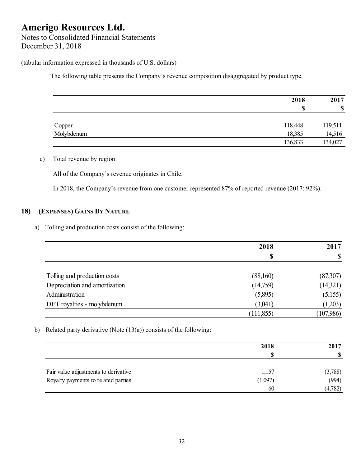The following table presents the Company's revenue composition disaggregated by product type.

|                      | 2018    | 2017    |
|----------------------|---------|---------|
|                      | \$      | \$      |
|                      | 118,448 | 119,511 |
| Copper<br>Molybdenum | 18,385  | 14,516  |
|                      | 136,833 | 134,027 |

#### c) Total revenue by region:

All of the Company's revenue originates in Chile.

In 2018, the Company's revenue from one customer represented 87% of reported revenue (2017: 92%).

#### **18) (EXPENSES) GAINS BY NATURE**

#### a) Tolling and production costs consist of the following:

|                               | 2018       |           |
|-------------------------------|------------|-----------|
|                               | \$         | \$        |
| Tolling and production costs  | (88,160)   | (87,307)  |
| Depreciation and amortization | (14,759)   | (14,321)  |
| Administration                | (5,895)    | (5,155)   |
| DET royalties - molybdenum    | (3,041)    | (1,203)   |
|                               | (111, 855) | (107,986) |

#### b) Related party derivative (Note  $(13(a))$  consists of the following:

|                                      | 2018    | 2017<br>S |
|--------------------------------------|---------|-----------|
|                                      | \$      |           |
| Fair value adjustments to derivative | 1,157   | (3,788)   |
| Royalty payments to related parties  | (1,097) | (994)     |
|                                      | 60      | (4,782)   |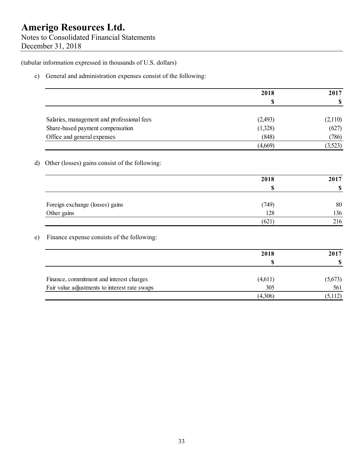### **Amerigo Resources Ltd.**  Notes to Consolidated Financial Statements December 31, 2018

(tabular information expressed in thousands of U.S. dollars)

c) General and administration expenses consist of the following:

|                                                      | 2018    | 2017    |
|------------------------------------------------------|---------|---------|
|                                                      | \$      | \$      |
| Salaries, management and professional fees           | (2,493) | (2,110) |
| Share-based payment compensation                     | (1,328) | (627)   |
| Office and general expenses                          | (848)   | (786)   |
|                                                      | (4,669) | (3,523) |
| Other (losses) gains consist of the following:<br>d) |         |         |
|                                                      | 2018    | 2017    |
|                                                      | \$      | \$      |
| Foreign exchange (losses) gains                      | (749)   | 80      |
| Other gains                                          | 128     | 136     |
|                                                      | (621)   | 216     |
| Finance expense consists of the following:<br>e)     |         |         |
|                                                      | 2018    | 2017    |
|                                                      | \$      | \$      |
| Finance, commitment and interest charges             | (4,611) | (5,673) |
| Fair value adjustments to interest rate swaps        | 305     | 561     |

(4,306) (5,112)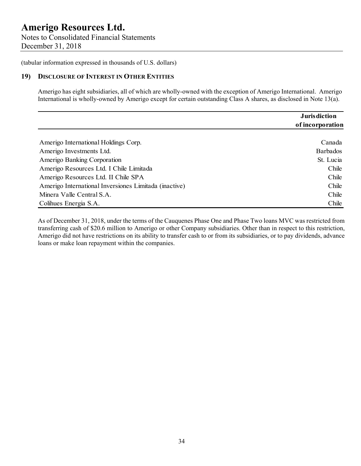### **Amerigo Resources Ltd.**  Notes to Consolidated Financial Statements December 31, 2018

(tabular information expressed in thousands of U.S. dollars)

#### **19) DISCLOSURE OF INTEREST IN OTHER ENTITIES**

Amerigo has eight subsidiaries, all of which are wholly-owned with the exception of Amerigo International. Amerigo International is wholly-owned by Amerigo except for certain outstanding Class A shares, as disclosed in Note 13(a).

|                                                       | <b>Jurisdiction</b> |
|-------------------------------------------------------|---------------------|
|                                                       | of incorporation    |
|                                                       |                     |
| Amerigo International Holdings Corp.                  | Canada              |
| Amerigo Investments Ltd.                              | Barbados            |
| Amerigo Banking Corporation                           | St. Lucia           |
| Amerigo Resources Ltd. I Chile Limitada               | Chile               |
| Amerigo Resources Ltd. II Chile SPA                   | Chile               |
| Amerigo International Inversiones Limitada (inactive) | Chile               |
| Minera Valle Central S.A.                             | Chile               |
| Colihues Energia S.A.                                 | Chile               |

As of December 31, 2018, under the terms of the Cauquenes Phase One and Phase Two loans MVC was restricted from transferring cash of \$20.6 million to Amerigo or other Company subsidiaries. Other than in respect to this restriction, Amerigo did not have restrictions on its ability to transfer cash to or from its subsidiaries, or to pay dividends, advance loans or make loan repayment within the companies.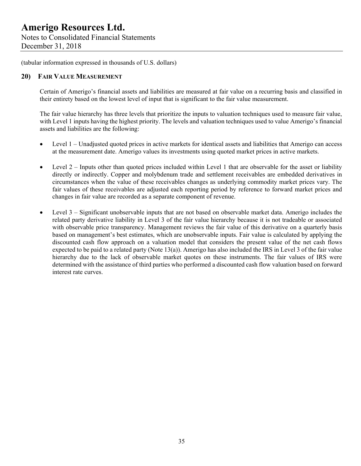Notes to Consolidated Financial Statements December 31, 2018

(tabular information expressed in thousands of U.S. dollars)

#### **20) FAIR VALUE MEASUREMENT**

Certain of Amerigo's financial assets and liabilities are measured at fair value on a recurring basis and classified in their entirety based on the lowest level of input that is significant to the fair value measurement.

The fair value hierarchy has three levels that prioritize the inputs to valuation techniques used to measure fair value, with Level 1 inputs having the highest priority. The levels and valuation techniques used to value Amerigo's financial assets and liabilities are the following:

- Level 1 Unadjusted quoted prices in active markets for identical assets and liabilities that Amerigo can access at the measurement date. Amerigo values its investments using quoted market prices in active markets.
- $\bullet$  Level 2 Inputs other than quoted prices included within Level 1 that are observable for the asset or liability directly or indirectly. Copper and molybdenum trade and settlement receivables are embedded derivatives in circumstances when the value of these receivables changes as underlying commodity market prices vary. The fair values of these receivables are adjusted each reporting period by reference to forward market prices and changes in fair value are recorded as a separate component of revenue.
- Level 3 Significant unobservable inputs that are not based on observable market data. Amerigo includes the related party derivative liability in Level 3 of the fair value hierarchy because it is not tradeable or associated with observable price transparency. Management reviews the fair value of this derivative on a quarterly basis based on management's best estimates, which are unobservable inputs. Fair value is calculated by applying the discounted cash flow approach on a valuation model that considers the present value of the net cash flows expected to be paid to a related party (Note 13(a)). Amerigo has also included the IRS in Level 3 of the fair value hierarchy due to the lack of observable market quotes on these instruments. The fair values of IRS were determined with the assistance of third parties who performed a discounted cash flow valuation based on forward interest rate curves.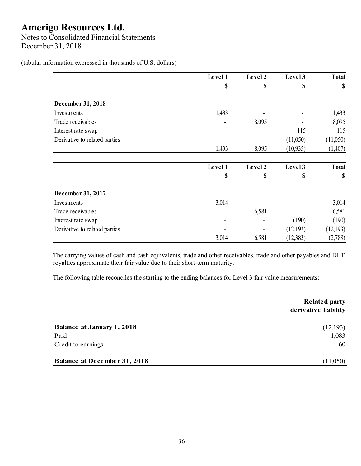Notes to Consolidated Financial Statements December 31, 2018

(tabular information expressed in thousands of U.S. dollars)

|                               | Level 1 | Level 2 | Level 3   | <b>Total</b> |
|-------------------------------|---------|---------|-----------|--------------|
|                               | \$      | \$      | \$        | \$           |
| December 31, 2018             |         |         |           |              |
| Investments                   | 1,433   |         |           | 1,433        |
| Trade receivables             |         | 8,095   |           | 8,095        |
| Interest rate swap            |         |         | 115       | 115          |
| Derivative to related parties |         |         | (11,050)  | (11,050)     |
|                               | 1,433   | 8,095   | (10, 935) | (1,407)      |
|                               |         |         |           |              |
|                               | Level 1 | Level 2 | Level 3   | <b>Total</b> |
|                               | \$      | \$      | \$        | \$           |
| December 31, 2017             |         |         |           |              |
| Investments                   | 3,014   |         |           | 3,014        |
| Trade receivables             |         | 6,581   |           | 6,581        |
| Interest rate swap            |         |         | (190)     | (190)        |
| Derivative to related parties |         |         | (12, 193) | (12, 193)    |
|                               | 3,014   | 6,581   | (12, 383) | (2,788)      |

The carrying values of cash and cash equivalents, trade and other receivables, trade and other payables and DET royalties approximate their fair value due to their short-term maturity.

The following table reconciles the starting to the ending balances for Level 3 fair value measurements:

|                                     | <b>Related party</b>  |
|-------------------------------------|-----------------------|
|                                     | de rivative liability |
| <b>Balance at January 1, 2018</b>   | (12,193)              |
| Paid                                | 1,083                 |
| Credit to earnings                  | 60                    |
| <b>Balance at December 31, 2018</b> |                       |
|                                     | (11,050)              |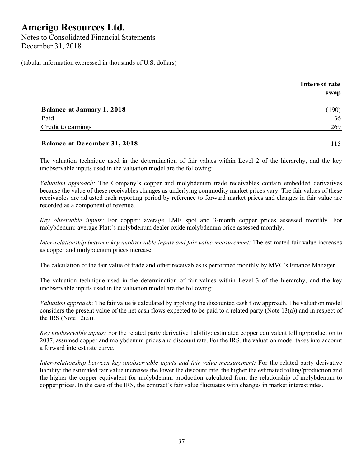Notes to Consolidated Financial Statements December 31, 2018

(tabular information expressed in thousands of U.S. dollars)

|                                   | Interest rate |
|-----------------------------------|---------------|
|                                   | s wap         |
| <b>Balance at January 1, 2018</b> | (190)         |
| Paid                              | 36            |
| Credit to earnings                | 269           |

The valuation technique used in the determination of fair values within Level 2 of the hierarchy, and the key unobservable inputs used in the valuation model are the following:

*Valuation approach:* The Company's copper and molybdenum trade receivables contain embedded derivatives because the value of these receivables changes as underlying commodity market prices vary. The fair values of these receivables are adjusted each reporting period by reference to forward market prices and changes in fair value are recorded as a component of revenue.

*Key observable inputs:* For copper: average LME spot and 3-month copper prices assessed monthly. For molybdenum: average Platt's molybdenum dealer oxide molybdenum price assessed monthly.

*Inter-relationship between key unobservable inputs and fair value measurement:* The estimated fair value increases as copper and molybdenum prices increase.

The calculation of the fair value of trade and other receivables is performed monthly by MVC's Finance Manager.

The valuation technique used in the determination of fair values within Level 3 of the hierarchy, and the key unobservable inputs used in the valuation model are the following:

*Valuation approach:* The fair value is calculated by applying the discounted cash flow approach. The valuation model considers the present value of the net cash flows expected to be paid to a related party (Note 13(a)) and in respect of the IRS (Note  $12(a)$ ).

*Key unobservable inputs:* For the related party derivative liability: estimated copper equivalent tolling/production to 2037, assumed copper and molybdenum prices and discount rate. For the IRS, the valuation model takes into account a forward interest rate curve.

*Inter-relationship between key unobservable inputs and fair value measurement:* For the related party derivative liability: the estimated fair value increases the lower the discount rate, the higher the estimated tolling/production and the higher the copper equivalent for molybdenum production calculated from the relationship of molybdenum to copper prices. In the case of the IRS, the contract's fair value fluctuates with changes in market interest rates.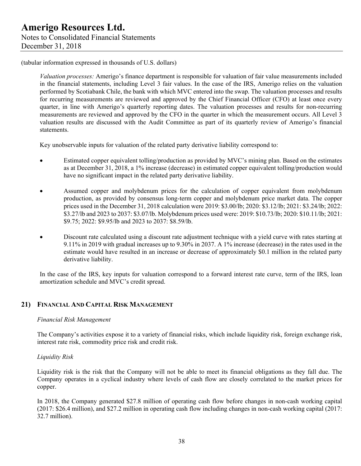*Valuation processes:* Amerigo's finance department is responsible for valuation of fair value measurements included in the financial statements, including Level 3 fair values. In the case of the IRS, Amerigo relies on the valuation performed by Scotiabank Chile, the bank with which MVC entered into the swap. The valuation processes and results for recurring measurements are reviewed and approved by the Chief Financial Officer (CFO) at least once every quarter, in line with Amerigo's quarterly reporting dates. The valuation processes and results for non-recurring measurements are reviewed and approved by the CFO in the quarter in which the measurement occurs. All Level 3 valuation results are discussed with the Audit Committee as part of its quarterly review of Amerigo's financial statements.

Key unobservable inputs for valuation of the related party derivative liability correspond to:

- Estimated copper equivalent tolling/production as provided by MVC's mining plan. Based on the estimates as at December 31, 2018, a 1% increase (decrease) in estimated copper equivalent tolling/production would have no significant impact in the related party derivative liability.
- Assumed copper and molybdenum prices for the calculation of copper equivalent from molybdenum production, as provided by consensus long-term copper and molybdenum price market data. The copper prices used in the December 31, 2018 calculation were 2019: \$3.00/lb; 2020: \$3.12/lb; 2021: \$3.24/lb; 2022: \$3.27/lb and 2023 to 2037: \$3.07/lb. Molybdenum prices used were: 2019: \$10.73/lb; 2020: \$10.11/lb; 2021: \$9.75; 2022: \$9.95/lb and 2023 to 2037: \$8.59/lb.
- Discount rate calculated using a discount rate adjustment technique with a yield curve with rates starting at 9.11% in 2019 with gradual increases up to 9.30% in 2037. A 1% increase (decrease) in the rates used in the estimate would have resulted in an increase or decrease of approximately \$0.1 million in the related party derivative liability.

In the case of the IRS, key inputs for valuation correspond to a forward interest rate curve, term of the IRS, loan amortization schedule and MVC's credit spread.

#### **21) FINANCIAL AND CAPITAL RISK MANAGEMENT**

#### *Financial Risk Management*

The Company's activities expose it to a variety of financial risks, which include liquidity risk, foreign exchange risk, interest rate risk, commodity price risk and credit risk.

#### *Liquidity Risk*

Liquidity risk is the risk that the Company will not be able to meet its financial obligations as they fall due. The Company operates in a cyclical industry where levels of cash flow are closely correlated to the market prices for copper.

In 2018, the Company generated \$27.8 million of operating cash flow before changes in non-cash working capital (2017: \$26.4 million), and \$27.2 million in operating cash flow including changes in non-cash working capital (2017: 32.7 million).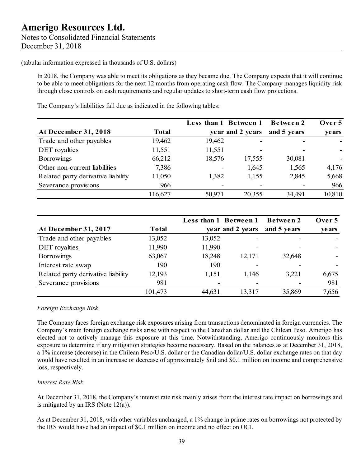In 2018, the Company was able to meet its obligations as they became due. The Company expects that it will continue to be able to meet obligations for the next 12 months from operating cash flow. The Company manages liquidity risk through close controls on cash requirements and regular updates to short-term cash flow projections.

The Company's liabilities fall due as indicated in the following tables:

|                                    |              |        | Less than 1 Between 1 | Between 2   | Over 5 |
|------------------------------------|--------------|--------|-----------------------|-------------|--------|
| At December 31, 2018               | <b>Total</b> |        | year and 2 years      | and 5 years | ye ars |
| Trade and other payables           | 19,462       | 19,462 |                       |             |        |
| DET royalties                      | 11,551       | 11,551 |                       |             |        |
| Borrowings                         | 66,212       | 18,576 | 17,555                | 30,081      |        |
| Other non-current liabilities      | 7,386        |        | 1,645                 | 1,565       | 4,176  |
| Related party derivative liability | 11,050       | 1,382  | 1,155                 | 2,845       | 5,668  |
| Severance provisions               | 966          |        |                       |             | 966    |
|                                    | 116,627      | 50,971 | 20,355                | 34,491      | 10,810 |

|                                    |              | Less than 1 Between 1 |                  | Between 2   | Over 5 |
|------------------------------------|--------------|-----------------------|------------------|-------------|--------|
| At December 31, 2017               | <b>Total</b> |                       | year and 2 years | and 5 years | ye ars |
| Trade and other payables           | 13,052       | 13,052                |                  |             |        |
| DET royalties                      | 11,990       | 11,990                |                  |             |        |
| <b>Borrowings</b>                  | 63,067       | 18,248                | 12,171           | 32,648      |        |
| Interest rate swap                 | 190          | 190                   |                  |             |        |
| Related party derivative liability | 12,193       | 1,151                 | 1,146            | 3,221       | 6,675  |
| Severance provisions               | 981          |                       |                  |             | 981    |
|                                    | 101,473      | 44,631                | 13,317           | 35,869      | 7,656  |

#### *Foreign Exchange Risk*

The Company faces foreign exchange risk exposures arising from transactions denominated in foreign currencies. The Company's main foreign exchange risks arise with respect to the Canadian dollar and the Chilean Peso. Amerigo has elected not to actively manage this exposure at this time. Notwithstanding, Amerigo continuously monitors this exposure to determine if any mitigation strategies become necessary. Based on the balances as at December 31, 2018, a 1% increase (decrease) in the Chilean Peso/U.S. dollar or the Canadian dollar/U.S. dollar exchange rates on that day would have resulted in an increase or decrease of approximately \$nil and \$0.1 million on income and comprehensive loss, respectively.

#### *Interest Rate Risk*

At December 31, 2018, the Company's interest rate risk mainly arises from the interest rate impact on borrowings and is mitigated by an IRS (Note 12(a)).

As at December 31, 2018, with other variables unchanged, a 1% change in prime rates on borrowings not protected by the IRS would have had an impact of \$0.1 million on income and no effect on OCI.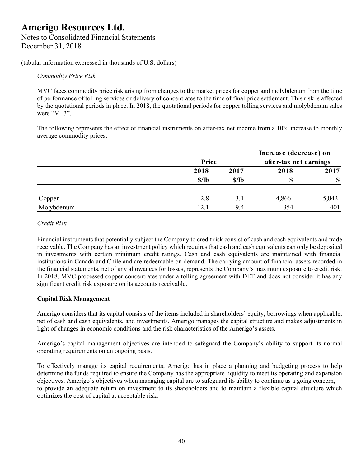December 31, 2018

#### (tabular information expressed in thousands of U.S. dollars)

#### *Commodity Price Risk*

MVC faces commodity price risk arising from changes to the market prices for copper and molybdenum from the time of performance of tolling services or delivery of concentrates to the time of final price settlement. This risk is affected by the quotational periods in place. In 2018, the quotational periods for copper tolling services and molybdenum sales were "M+3".

The following represents the effect of financial instruments on after-tax net income from a 10% increase to monthly average commodity prices:

|            |       |       |                        | Increase (decrease) on |  |  |
|------------|-------|-------|------------------------|------------------------|--|--|
|            | Price |       | after-tax net earnings |                        |  |  |
|            | 2018  | 2017  | 2018                   | 2017                   |  |  |
|            | \$/lb | \$/lb | \$                     | $\mathbf S$            |  |  |
| Copper     | 2.8   | 3.1   | 4,866                  | 5,042                  |  |  |
| Molybdenum | 12.1  | 9.4   | 354                    | 401                    |  |  |

#### *Credit Risk*

Financial instruments that potentially subject the Company to credit risk consist of cash and cash equivalents and trade receivable. The Company has an investment policy which requires that cash and cash equivalents can only be deposited in investments with certain minimum credit ratings. Cash and cash equivalents are maintained with financial institutions in Canada and Chile and are redeemable on demand. The carrying amount of financial assets recorded in the financial statements, net of any allowances for losses, represents the Company's maximum exposure to credit risk. In 2018, MVC processed copper concentrates under a tolling agreement with DET and does not consider it has any significant credit risk exposure on its accounts receivable.

#### **Capital Risk Management**

Amerigo considers that its capital consists of the items included in shareholders' equity, borrowings when applicable, net of cash and cash equivalents, and investments. Amerigo manages the capital structure and makes adjustments in light of changes in economic conditions and the risk characteristics of the Amerigo's assets.

Amerigo's capital management objectives are intended to safeguard the Company's ability to support its normal operating requirements on an ongoing basis.

To effectively manage its capital requirements, Amerigo has in place a planning and budgeting process to help determine the funds required to ensure the Company has the appropriate liquidity to meet its operating and expansion objectives. Amerigo's objectives when managing capital are to safeguard its ability to continue as a going concern, to provide an adequate return on investment to its shareholders and to maintain a flexible capital structure which optimizes the cost of capital at acceptable risk.